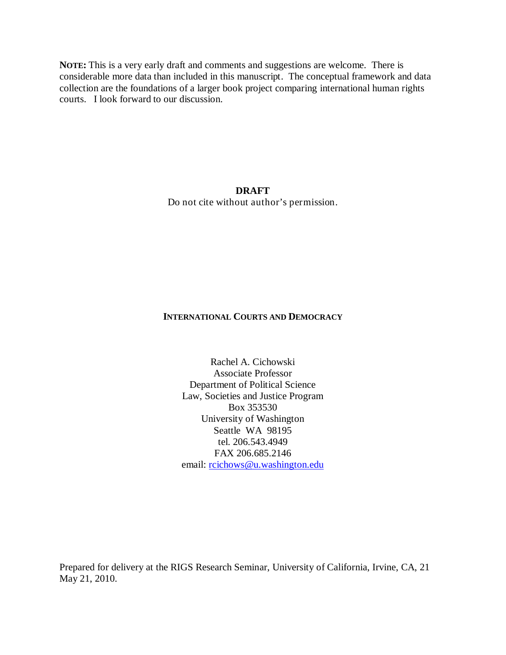**NOTE:** This is a very early draft and comments and suggestions are welcome. There is considerable more data than included in this manuscript. The conceptual framework and data collection are the foundations of a larger book project comparing international human rights courts. I look forward to our discussion.

# **DRAFT** Do not cite without author's permission.

## **INTERNATIONAL COURTS AND DEMOCRACY**

Rachel A. Cichowski Associate Professor Department of Political Science Law, Societies and Justice Program Box 353530 University of Washington Seattle WA 98195 tel. 206.543.4949 FAX 206.685.2146 email: [rcichows@u.washington.edu](mailto:rcichows@u.washington.edu)

Prepared for delivery at the RIGS Research Seminar, University of California, Irvine, CA, 21 May 21, 2010.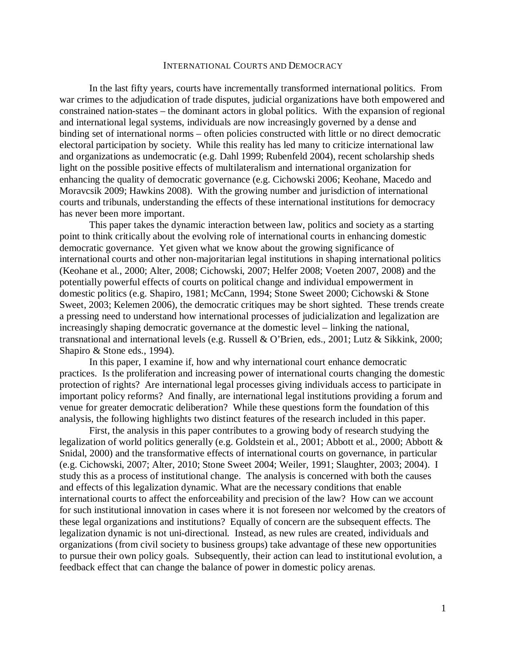#### INTERNATIONAL COURTS AND DEMOCRACY

In the last fifty years, courts have incrementally transformed international politics. From war crimes to the adjudication of trade disputes, judicial organizations have both empowered and constrained nation-states – the dominant actors in global politics. With the expansion of regional and international legal systems, individuals are now increasingly governed by a dense and binding set of international norms – often policies constructed with little or no direct democratic electoral participation by society. While this reality has led many to criticize international law and organizations as undemocratic (e.g. Dahl 1999; Rubenfeld 2004), recent scholarship sheds light on the possible positive effects of multilateralism and international organization for enhancing the quality of democratic governance (e.g. Cichowski 2006; Keohane, Macedo and Moravcsik 2009; Hawkins 2008). With the growing number and jurisdiction of international courts and tribunals, understanding the effects of these international institutions for democracy has never been more important.

This paper takes the dynamic interaction between law, politics and society as a starting point to think critically about the evolving role of international courts in enhancing domestic democratic governance. Yet given what we know about the growing significance of international courts and other non-majoritarian legal institutions in shaping international politics (Keohane et al., 2000; Alter, 2008; Cichowski, 2007; Helfer 2008; Voeten 2007, 2008) and the potentially powerful effects of courts on political change and individual empowerment in domestic politics (e.g. Shapiro, 1981; McCann, 1994; Stone Sweet 2000; Cichowski & Stone Sweet, 2003; Kelemen 2006), the democratic critiques may be short sighted. These trends create a pressing need to understand how international processes of judicialization and legalization are increasingly shaping democratic governance at the domestic level – linking the national, transnational and international levels (e.g. Russell & O'Brien, eds., 2001; Lutz & Sikkink, 2000; Shapiro & Stone eds., 1994).

In this paper, I examine if, how and why international court enhance democratic practices. Is the proliferation and increasing power of international courts changing the domestic protection of rights? Are international legal processes giving individuals access to participate in important policy reforms? And finally, are international legal institutions providing a forum and venue for greater democratic deliberation? While these questions form the foundation of this analysis, the following highlights two distinct features of the research included in this paper.

First, the analysis in this paper contributes to a growing body of research studying the legalization of world politics generally (e.g. Goldstein et al., 2001; Abbott et al., 2000; Abbott & Snidal, 2000) and the transformative effects of international courts on governance, in particular (e.g. Cichowski, 2007; Alter, 2010; Stone Sweet 2004; Weiler, 1991; Slaughter, 2003; 2004). I study this as a process of institutional change. The analysis is concerned with both the causes and effects of this legalization dynamic. What are the necessary conditions that enable international courts to affect the enforceability and precision of the law? How can we account for such institutional innovation in cases where it is not foreseen nor welcomed by the creators of these legal organizations and institutions? Equally of concern are the subsequent effects. The legalization dynamic is not uni-directional. Instead, as new rules are created, individuals and organizations (from civil society to business groups) take advantage of these new opportunities to pursue their own policy goals. Subsequently, their action can lead to institutional evolution, a feedback effect that can change the balance of power in domestic policy arenas.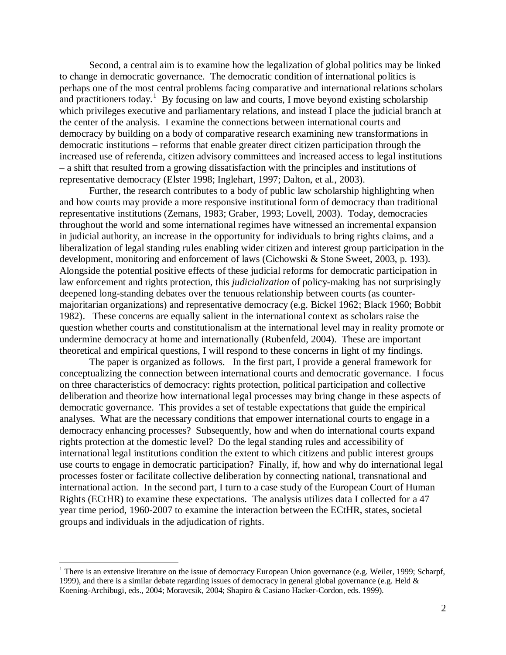Second, a central aim is to examine how the legalization of global politics may be linked to change in democratic governance. The democratic condition of international politics is perhaps one of the most central problems facing comparative and international relations scholars and practitioners today.<sup>[1](#page-2-0)</sup> By focusing on law and courts, I move beyond existing scholarship which privileges executive and parliamentary relations, and instead I place the judicial branch at the center of the analysis. I examine the connections between international courts and democracy by building on a body of comparative research examining new transformations in democratic institutions – reforms that enable greater direct citizen participation through the increased use of referenda, citizen advisory committees and increased access to legal institutions – a shift that resulted from a growing dissatisfaction with the principles and institutions of representative democracy (Elster 1998; Inglehart, 1997; Dalton, et al., 2003).

Further, the research contributes to a body of public law scholarship highlighting when and how courts may provide a more responsive institutional form of democracy than traditional representative institutions (Zemans, 1983; Graber, 1993; Lovell, 2003). Today, democracies throughout the world and some international regimes have witnessed an incremental expansion in judicial authority, an increase in the opportunity for individuals to bring rights claims, and a liberalization of legal standing rules enabling wider citizen and interest group participation in the development, monitoring and enforcement of laws (Cichowski & Stone Sweet, 2003, p. 193). Alongside the potential positive effects of these judicial reforms for democratic participation in law enforcement and rights protection, this *judicialization* of policy-making has not surprisingly deepened long-standing debates over the tenuous relationship between courts (as countermajoritarian organizations) and representative democracy (e.g. Bickel 1962; Black 1960; Bobbit 1982). These concerns are equally salient in the international context as scholars raise the question whether courts and constitutionalism at the international level may in reality promote or undermine democracy at home and internationally (Rubenfeld, 2004). These are important theoretical and empirical questions, I will respond to these concerns in light of my findings.

The paper is organized as follows. In the first part, I provide a general framework for conceptualizing the connection between international courts and democratic governance. I focus on three characteristics of democracy: rights protection, political participation and collective deliberation and theorize how international legal processes may bring change in these aspects of democratic governance. This provides a set of testable expectations that guide the empirical analyses. What are the necessary conditions that empower international courts to engage in a democracy enhancing processes? Subsequently, how and when do international courts expand rights protection at the domestic level? Do the legal standing rules and accessibility of international legal institutions condition the extent to which citizens and public interest groups use courts to engage in democratic participation? Finally, if, how and why do international legal processes foster or facilitate collective deliberation by connecting national, transnational and international action. In the second part, I turn to a case study of the European Court of Human Rights (ECtHR) to examine these expectations. The analysis utilizes data I collected for a 47 year time period, 1960-2007 to examine the interaction between the ECtHR, states, societal groups and individuals in the adjudication of rights.

<span id="page-2-0"></span><sup>&</sup>lt;sup>1</sup> There is an extensive literature on the issue of democracy European Union governance (e.g. Weiler, 1999; Scharpf, 1999), and there is a similar debate regarding issues of democracy in general global governance (e.g. Held & Koening-Archibugi, eds., 2004; Moravcsik, 2004; Shapiro & Casiano Hacker-Cordon, eds. 1999).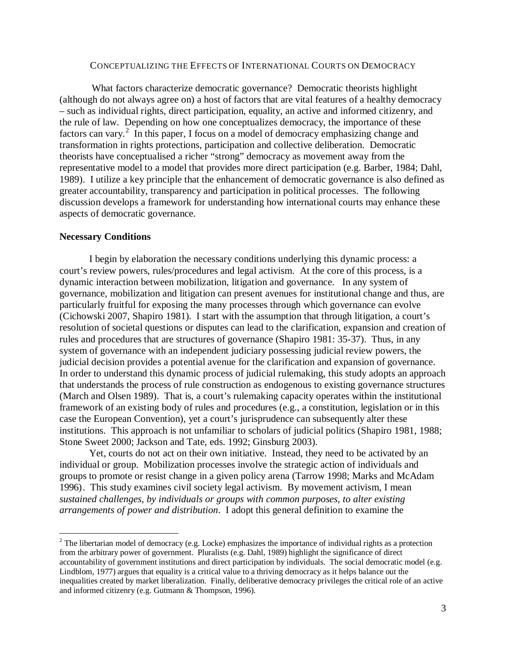## CONCEPTUALIZING THE EFFECTS OF INTERNATIONAL COURTS ON DEMOCRACY

What factors characterize democratic governance? Democratic theorists highlight (although do not always agree on) a host of factors that are vital features of a healthy democracy – such as individual rights, direct participation, equality, an active and informed citizenry, and the rule of law. Depending on how one conceptualizes democracy, the importance of these factors can vary.<sup>[2](#page-3-0)</sup> In this paper, I focus on a model of democracy emphasizing change and transformation in rights protections, participation and collective deliberation. Democratic theorists have conceptualised a richer "strong" democracy as movement away from the representative model to a model that provides more direct participation (e.g. Barber, 1984; Dahl, 1989). I utilize a key principle that the enhancement of democratic governance is also defined as greater accountability, transparency and participation in political processes. The following discussion develops a framework for understanding how international courts may enhance these aspects of democratic governance.

### **Necessary Conditions**

I begin by elaboration the necessary conditions underlying this dynamic process: a court's review powers, rules/procedures and legal activism. At the core of this process, is a dynamic interaction between mobilization, litigation and governance. In any system of governance, mobilization and litigation can present avenues for institutional change and thus, are particularly fruitful for exposing the many processes through which governance can evolve (Cichowski 2007, Shapiro 1981). I start with the assumption that through litigation, a court's resolution of societal questions or disputes can lead to the clarification, expansion and creation of rules and procedures that are structures of governance (Shapiro 1981: 35-37). Thus, in any system of governance with an independent judiciary possessing judicial review powers, the judicial decision provides a potential avenue for the clarification and expansion of governance. In order to understand this dynamic process of judicial rulemaking, this study adopts an approach that understands the process of rule construction as endogenous to existing governance structures (March and Olsen 1989). That is, a court's rulemaking capacity operates within the institutional framework of an existing body of rules and procedures (e.g., a constitution, legislation or in this case the European Convention), yet a court's jurisprudence can subsequently alter these institutions. This approach is not unfamiliar to scholars of judicial politics (Shapiro 1981, 1988; Stone Sweet 2000; Jackson and Tate, eds. 1992; Ginsburg 2003).

Yet, courts do not act on their own initiative. Instead, they need to be activated by an individual or group. Mobilization processes involve the strategic action of individuals and groups to promote or resist change in a given policy arena (Tarrow 1998; Marks and McAdam 1996). This study examines civil society legal activism. By movement activism, I mean *sustained challenges, by individuals or groups with common purposes, to alter existing arrangements of power and distribution*. I adopt this general definition to examine the

<span id="page-3-0"></span> $2$  The libertarian model of democracy (e.g. Locke) emphasizes the importance of individual rights as a protection from the arbitrary power of government. Pluralists (e.g. Dahl, 1989) highlight the significance of direct accountability of government institutions and direct participation by individuals. The social democratic model (e.g. Lindblom, 1977) argues that equality is a critical value to a thriving democracy as it helps balance out the inequalities created by market liberalization. Finally, deliberative democracy privileges the critical role of an active and informed citizenry (e.g. Gutmann & Thompson, 1996).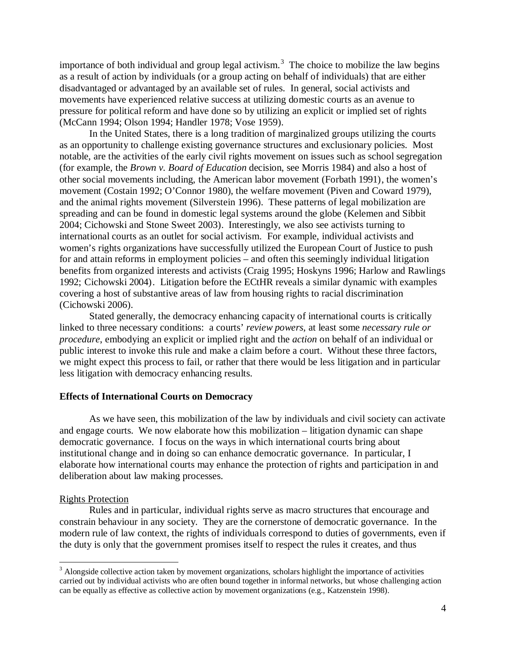importance of both individual and group legal activism.<sup>[3](#page-4-0)</sup> The choice to mobilize the law begins as a result of action by individuals (or a group acting on behalf of individuals) that are either disadvantaged or advantaged by an available set of rules. In general, social activists and movements have experienced relative success at utilizing domestic courts as an avenue to pressure for political reform and have done so by utilizing an explicit or implied set of rights (McCann 1994; Olson 1994; Handler 1978; Vose 1959).

In the United States, there is a long tradition of marginalized groups utilizing the courts as an opportunity to challenge existing governance structures and exclusionary policies. Most notable, are the activities of the early civil rights movement on issues such as school segregation (for example, the *Brown v. Board of Education* decision, see Morris 1984) and also a host of other social movements including, the American labor movement (Forbath 1991), the women's movement (Costain 1992; O'Connor 1980), the welfare movement (Piven and Coward 1979), and the animal rights movement (Silverstein 1996). These patterns of legal mobilization are spreading and can be found in domestic legal systems around the globe (Kelemen and Sibbit 2004; Cichowski and Stone Sweet 2003). Interestingly, we also see activists turning to international courts as an outlet for social activism. For example, individual activists and women's rights organizations have successfully utilized the European Court of Justice to push for and attain reforms in employment policies – and often this seemingly individual litigation benefits from organized interests and activists (Craig 1995; Hoskyns 1996; Harlow and Rawlings 1992; Cichowski 2004). Litigation before the ECtHR reveals a similar dynamic with examples covering a host of substantive areas of law from housing rights to racial discrimination (Cichowski 2006).

Stated generally, the democracy enhancing capacity of international courts is critically linked to three necessary conditions: a courts' *review powers*, at least some *necessary rule or procedure*, embodying an explicit or implied right and the *action* on behalf of an individual or public interest to invoke this rule and make a claim before a court. Without these three factors, we might expect this process to fail, or rather that there would be less litigation and in particular less litigation with democracy enhancing results.

#### **Effects of International Courts on Democracy**

As we have seen, this mobilization of the law by individuals and civil society can activate and engage courts. We now elaborate how this mobilization – litigation dynamic can shape democratic governance. I focus on the ways in which international courts bring about institutional change and in doing so can enhance democratic governance. In particular, I elaborate how international courts may enhance the protection of rights and participation in and deliberation about law making processes.

#### Rights Protection

Rules and in particular, individual rights serve as macro structures that encourage and constrain behaviour in any society. They are the cornerstone of democratic governance. In the modern rule of law context, the rights of individuals correspond to duties of governments, even if the duty is only that the government promises itself to respect the rules it creates, and thus

<span id="page-4-0"></span><sup>&</sup>lt;sup>3</sup> Alongside collective action taken by movement organizations, scholars highlight the importance of activities carried out by individual activists who are often bound together in informal networks, but whose challenging action can be equally as effective as collective action by movement organizations (e.g., Katzenstein 1998).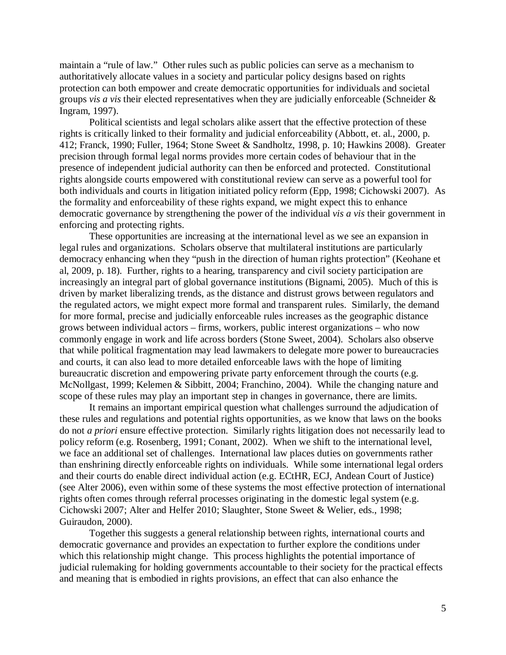maintain a "rule of law." Other rules such as public policies can serve as a mechanism to authoritatively allocate values in a society and particular policy designs based on rights protection can both empower and create democratic opportunities for individuals and societal groups *vis a vis* their elected representatives when they are judicially enforceable (Schneider & Ingram, 1997).

Political scientists and legal scholars alike assert that the effective protection of these rights is critically linked to their formality and judicial enforceability (Abbott, et. al., 2000, p. 412; Franck, 1990; Fuller, 1964; Stone Sweet & Sandholtz, 1998, p. 10; Hawkins 2008). Greater precision through formal legal norms provides more certain codes of behaviour that in the presence of independent judicial authority can then be enforced and protected. Constitutional rights alongside courts empowered with constitutional review can serve as a powerful tool for both individuals and courts in litigation initiated policy reform (Epp, 1998; Cichowski 2007). As the formality and enforceability of these rights expand, we might expect this to enhance democratic governance by strengthening the power of the individual *vis a vis* their government in enforcing and protecting rights.

These opportunities are increasing at the international level as we see an expansion in legal rules and organizations. Scholars observe that multilateral institutions are particularly democracy enhancing when they "push in the direction of human rights protection" (Keohane et al, 2009, p. 18). Further, rights to a hearing, transparency and civil society participation are increasingly an integral part of global governance institutions (Bignami, 2005). Much of this is driven by market liberalizing trends, as the distance and distrust grows between regulators and the regulated actors, we might expect more formal and transparent rules. Similarly, the demand for more formal, precise and judicially enforceable rules increases as the geographic distance grows between individual actors – firms, workers, public interest organizations – who now commonly engage in work and life across borders (Stone Sweet, 2004). Scholars also observe that while political fragmentation may lead lawmakers to delegate more power to bureaucracies and courts, it can also lead to more detailed enforceable laws with the hope of limiting bureaucratic discretion and empowering private party enforcement through the courts (e.g. McNollgast, 1999; Kelemen & Sibbitt, 2004; Franchino, 2004). While the changing nature and scope of these rules may play an important step in changes in governance, there are limits.

It remains an important empirical question what challenges surround the adjudication of these rules and regulations and potential rights opportunities, as we know that laws on the books do not *a priori* ensure effective protection. Similarly rights litigation does not necessarily lead to policy reform (e.g. Rosenberg, 1991; Conant, 2002). When we shift to the international level, we face an additional set of challenges. International law places duties on governments rather than enshrining directly enforceable rights on individuals. While some international legal orders and their courts do enable direct individual action (e.g. ECtHR, ECJ, Andean Court of Justice) (see Alter 2006), even within some of these systems the most effective protection of international rights often comes through referral processes originating in the domestic legal system (e.g. Cichowski 2007; Alter and Helfer 2010; Slaughter, Stone Sweet & Welier, eds., 1998; Guiraudon, 2000).

Together this suggests a general relationship between rights, international courts and democratic governance and provides an expectation to further explore the conditions under which this relationship might change. This process highlights the potential importance of judicial rulemaking for holding governments accountable to their society for the practical effects and meaning that is embodied in rights provisions, an effect that can also enhance the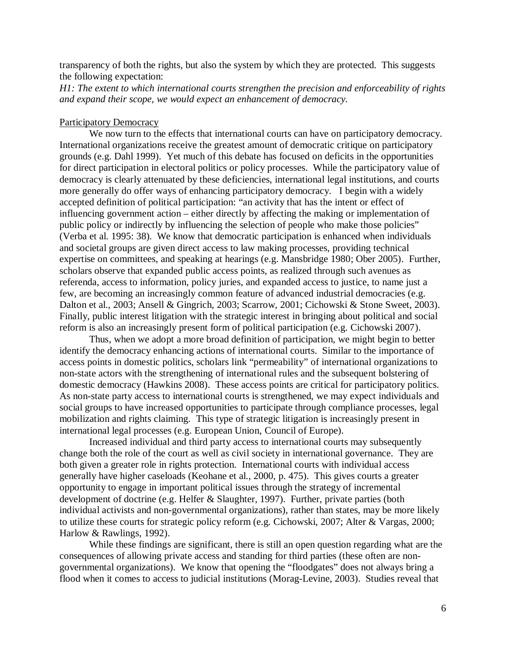transparency of both the rights, but also the system by which they are protected. This suggests the following expectation:

*H1: The extent to which international courts strengthen the precision and enforceability of rights and expand their scope, we would expect an enhancement of democracy.* 

## Participatory Democracy

We now turn to the effects that international courts can have on participatory democracy. International organizations receive the greatest amount of democratic critique on participatory grounds (e.g. Dahl 1999). Yet much of this debate has focused on deficits in the opportunities for direct participation in electoral politics or policy processes. While the participatory value of democracy is clearly attenuated by these deficiencies, international legal institutions, and courts more generally do offer ways of enhancing participatory democracy. I begin with a widely accepted definition of political participation: "an activity that has the intent or effect of influencing government action – either directly by affecting the making or implementation of public policy or indirectly by influencing the selection of people who make those policies" (Verba et al. 1995: 38). We know that democratic participation is enhanced when individuals and societal groups are given direct access to law making processes, providing technical expertise on committees, and speaking at hearings (e.g. Mansbridge 1980; Ober 2005). Further, scholars observe that expanded public access points, as realized through such avenues as referenda, access to information, policy juries, and expanded access to justice, to name just a few, are becoming an increasingly common feature of advanced industrial democracies (e.g. Dalton et al., 2003; Ansell & Gingrich, 2003; Scarrow, 2001; Cichowski & Stone Sweet, 2003). Finally, public interest litigation with the strategic interest in bringing about political and social reform is also an increasingly present form of political participation (e.g. Cichowski 2007).

Thus, when we adopt a more broad definition of participation, we might begin to better identify the democracy enhancing actions of international courts. Similar to the importance of access points in domestic politics, scholars link "permeability" of international organizations to non-state actors with the strengthening of international rules and the subsequent bolstering of domestic democracy (Hawkins 2008). These access points are critical for participatory politics. As non-state party access to international courts is strengthened, we may expect individuals and social groups to have increased opportunities to participate through compliance processes, legal mobilization and rights claiming. This type of strategic litigation is increasingly present in international legal processes (e.g. European Union, Council of Europe).

Increased individual and third party access to international courts may subsequently change both the role of the court as well as civil society in international governance. They are both given a greater role in rights protection. International courts with individual access generally have higher caseloads (Keohane et al., 2000, p. 475). This gives courts a greater opportunity to engage in important political issues through the strategy of incremental development of doctrine (e.g. Helfer & Slaughter, 1997). Further, private parties (both individual activists and non-governmental organizations), rather than states, may be more likely to utilize these courts for strategic policy reform (e.g. Cichowski, 2007; Alter & Vargas, 2000; Harlow & Rawlings, 1992).

While these findings are significant, there is still an open question regarding what are the consequences of allowing private access and standing for third parties (these often are nongovernmental organizations). We know that opening the "floodgates" does not always bring a flood when it comes to access to judicial institutions (Morag-Levine, 2003). Studies reveal that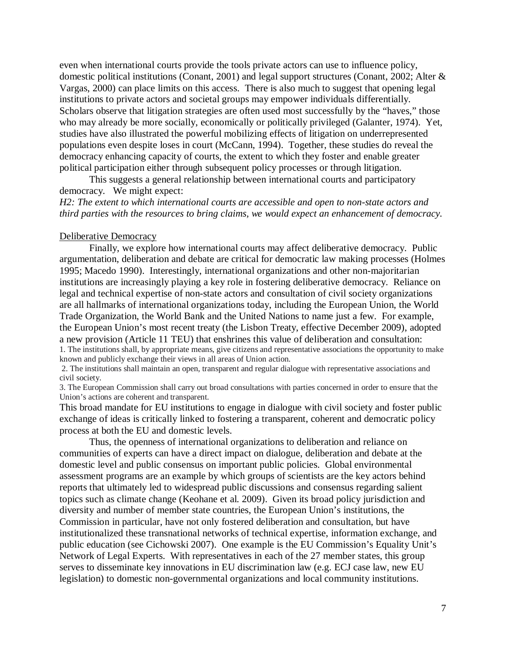even when international courts provide the tools private actors can use to influence policy, domestic political institutions (Conant, 2001) and legal support structures (Conant, 2002; Alter & Vargas, 2000) can place limits on this access. There is also much to suggest that opening legal institutions to private actors and societal groups may empower individuals differentially. Scholars observe that litigation strategies are often used most successfully by the "haves," those who may already be more socially, economically or politically privileged (Galanter, 1974). Yet, studies have also illustrated the powerful mobilizing effects of litigation on underrepresented populations even despite loses in court (McCann, 1994). Together, these studies do reveal the democracy enhancing capacity of courts, the extent to which they foster and enable greater political participation either through subsequent policy processes or through litigation.

This suggests a general relationship between international courts and participatory democracy. We might expect:

*H2: The extent to which international courts are accessible and open to non-state actors and third parties with the resources to bring claims, we would expect an enhancement of democracy.* 

### Deliberative Democracy

Finally, we explore how international courts may affect deliberative democracy. Public argumentation, deliberation and debate are critical for democratic law making processes (Holmes 1995; Macedo 1990). Interestingly, international organizations and other non-majoritarian institutions are increasingly playing a key role in fostering deliberative democracy. Reliance on legal and technical expertise of non-state actors and consultation of civil society organizations are all hallmarks of international organizations today, including the European Union, the World Trade Organization, the World Bank and the United Nations to name just a few. For example, the European Union's most recent treaty (the Lisbon Treaty, effective December 2009), adopted a new provision (Article 11 TEU) that enshrines this value of deliberation and consultation: 1. The institutions shall, by appropriate means, give citizens and representative associations the opportunity to make known and publicly exchange their views in all areas of Union action.

2. The institutions shall maintain an open, transparent and regular dialogue with representative associations and civil society.

3. The European Commission shall carry out broad consultations with parties concerned in order to ensure that the Union's actions are coherent and transparent.

This broad mandate for EU institutions to engage in dialogue with civil society and foster public exchange of ideas is critically linked to fostering a transparent, coherent and democratic policy process at both the EU and domestic levels.

Thus, the openness of international organizations to deliberation and reliance on communities of experts can have a direct impact on dialogue, deliberation and debate at the domestic level and public consensus on important public policies. Global environmental assessment programs are an example by which groups of scientists are the key actors behind reports that ultimately led to widespread public discussions and consensus regarding salient topics such as climate change (Keohane et al. 2009). Given its broad policy jurisdiction and diversity and number of member state countries, the European Union's institutions, the Commission in particular, have not only fostered deliberation and consultation, but have institutionalized these transnational networks of technical expertise, information exchange, and public education (see Cichowski 2007). One example is the EU Commission's Equality Unit's Network of Legal Experts. With representatives in each of the 27 member states, this group serves to disseminate key innovations in EU discrimination law (e.g. ECJ case law, new EU legislation) to domestic non-governmental organizations and local community institutions.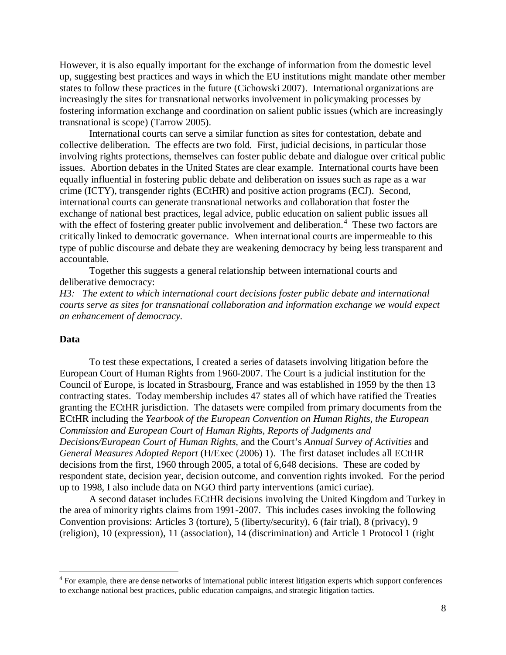However, it is also equally important for the exchange of information from the domestic level up, suggesting best practices and ways in which the EU institutions might mandate other member states to follow these practices in the future (Cichowski 2007). International organizations are increasingly the sites for transnational networks involvement in policymaking processes by fostering information exchange and coordination on salient public issues (which are increasingly transnational is scope) (Tarrow 2005).

International courts can serve a similar function as sites for contestation, debate and collective deliberation. The effects are two fold. First, judicial decisions, in particular those involving rights protections, themselves can foster public debate and dialogue over critical public issues. Abortion debates in the United States are clear example. International courts have been equally influential in fostering public debate and deliberation on issues such as rape as a war crime (ICTY), transgender rights (ECtHR) and positive action programs (ECJ). Second, international courts can generate transnational networks and collaboration that foster the exchange of national best practices, legal advice, public education on salient public issues all with the effect of fostering greater public involvement and deliberation.<sup>[4](#page-8-0)</sup> These two factors are critically linked to democratic governance. When international courts are impermeable to this type of public discourse and debate they are weakening democracy by being less transparent and accountable*.*

 Together this suggests a general relationship between international courts and deliberative democracy:

*H3: The extent to which international court decisions foster public debate and international courts serve as sites for transnational collaboration and information exchange we would expect an enhancement of democracy.* 

## **Data**

To test these expectations, I created a series of datasets involving litigation before the European Court of Human Rights from 1960-2007. The Court is a judicial institution for the Council of Europe, is located in Strasbourg, France and was established in 1959 by the then 13 contracting states. Today membership includes 47 states all of which have ratified the Treaties granting the ECtHR jurisdiction. The datasets were compiled from primary documents from the ECtHR including the *Yearbook of the European Convention on Human Rights, the European Commission and European Court of Human Rights*, *Reports of Judgments and Decisions/European Court of Human Rights,* and the Court's *Annual Survey of Activities* and *General Measures Adopted Report* (H/Exec (2006) 1). The first dataset includes all ECtHR decisions from the first, 1960 through 2005, a total of 6,648 decisions. These are coded by respondent state, decision year, decision outcome, and convention rights invoked. For the period up to 1998, I also include data on NGO third party interventions (amici curiae).

A second dataset includes ECtHR decisions involving the United Kingdom and Turkey in the area of minority rights claims from 1991-2007. This includes cases invoking the following Convention provisions: Articles 3 (torture), 5 (liberty/security), 6 (fair trial), 8 (privacy), 9 (religion), 10 (expression), 11 (association), 14 (discrimination) and Article 1 Protocol 1 (right

<span id="page-8-0"></span><sup>&</sup>lt;sup>4</sup> For example, there are dense networks of international public interest litigation experts which support conferences to exchange national best practices, public education campaigns, and strategic litigation tactics.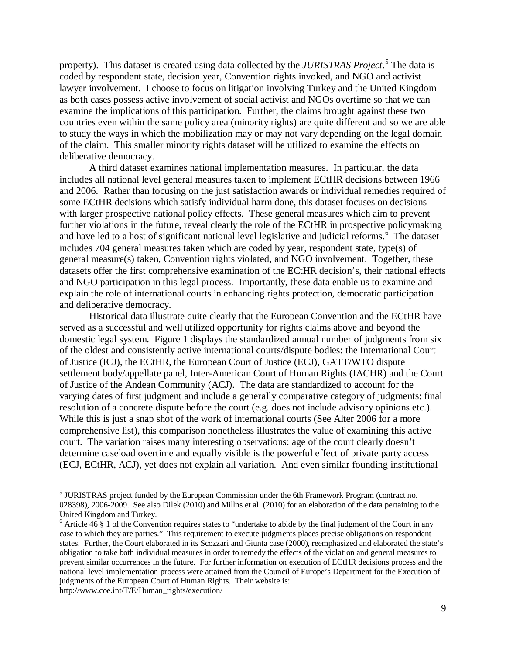property). This dataset is created using data collected by the *JURISTRAS Project*. [5](#page-9-0) The data is coded by respondent state, decision year, Convention rights invoked, and NGO and activist lawyer involvement. I choose to focus on litigation involving Turkey and the United Kingdom as both cases possess active involvement of social activist and NGOs overtime so that we can examine the implications of this participation. Further, the claims brought against these two countries even within the same policy area (minority rights) are quite different and so we are able to study the ways in which the mobilization may or may not vary depending on the legal domain of the claim. This smaller minority rights dataset will be utilized to examine the effects on deliberative democracy.

A third dataset examines national implementation measures. In particular, the data includes all national level general measures taken to implement ECtHR decisions between 1966 and 2006. Rather than focusing on the just satisfaction awards or individual remedies required of some ECtHR decisions which satisfy individual harm done, this dataset focuses on decisions with larger prospective national policy effects. These general measures which aim to prevent further violations in the future, reveal clearly the role of the ECtHR in prospective policymaking and have led to a host of significant national level legislative and judicial reforms.<sup>[6](#page-9-1)</sup> The dataset includes 704 general measures taken which are coded by year, respondent state, type(s) of general measure(s) taken, Convention rights violated, and NGO involvement. Together, these datasets offer the first comprehensive examination of the ECtHR decision's, their national effects and NGO participation in this legal process. Importantly, these data enable us to examine and explain the role of international courts in enhancing rights protection, democratic participation and deliberative democracy.

Historical data illustrate quite clearly that the European Convention and the ECtHR have served as a successful and well utilized opportunity for rights claims above and beyond the domestic legal system. Figure 1 displays the standardized annual number of judgments from six of the oldest and consistently active international courts/dispute bodies: the International Court of Justice (ICJ), the ECtHR, the European Court of Justice (ECJ), GATT/WTO dispute settlement body/appellate panel, Inter-American Court of Human Rights (IACHR) and the Court of Justice of the Andean Community (ACJ). The data are standardized to account for the varying dates of first judgment and include a generally comparative category of judgments: final resolution of a concrete dispute before the court (e.g. does not include advisory opinions etc.). While this is just a snap shot of the work of international courts (See Alter 2006 for a more comprehensive list), this comparison nonetheless illustrates the value of examining this active court. The variation raises many interesting observations: age of the court clearly doesn't determine caseload overtime and equally visible is the powerful effect of private party access (ECJ, ECtHR, ACJ), yet does not explain all variation. And even similar founding institutional

<span id="page-9-0"></span><sup>&</sup>lt;sup>5</sup> JURISTRAS project funded by the European Commission under the 6th Framework Program (contract no. 028398), 2006-2009. See also Dilek (2010) and Millns et al. (2010) for an elaboration of the data pertaining to the United Kingdom and Turkey.

<span id="page-9-1"></span> $6$  Article 46 § 1 of the Convention requires states to "undertake to abide by the final judgment of the Court in any case to which they are parties." This requirement to execute judgments places precise obligations on respondent states. Further, the Court elaborated in its Scozzari and Giunta case (2000), reemphasized and elaborated the state's obligation to take both individual measures in order to remedy the effects of the violation and general measures to prevent similar occurrences in the future. For further information on execution of ECtHR decisions process and the national level implementation process were attained from the Council of Europe's Department for the Execution of judgments of the European Court of Human Rights. Their website is: http://www.coe.int/T/E/Human\_rights/execution/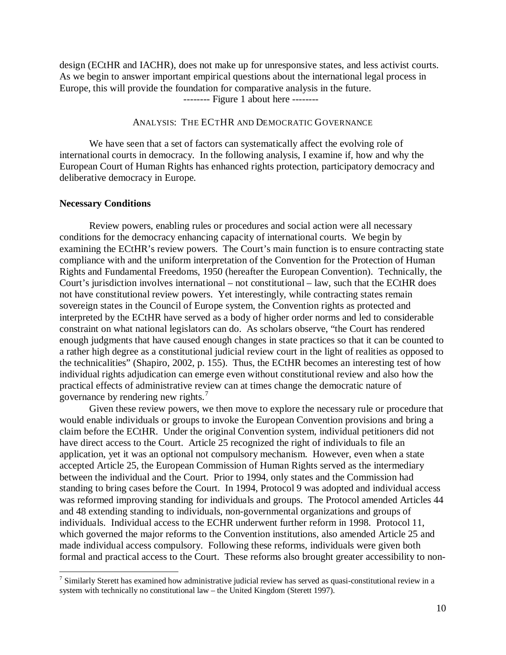design (ECtHR and IACHR), does not make up for unresponsive states, and less activist courts. As we begin to answer important empirical questions about the international legal process in Europe, this will provide the foundation for comparative analysis in the future.

-------- Figure 1 about here --------

## ANALYSIS: THE ECTHR AND DEMOCRATIC GOVERNANCE

We have seen that a set of factors can systematically affect the evolving role of international courts in democracy. In the following analysis, I examine if, how and why the European Court of Human Rights has enhanced rights protection, participatory democracy and deliberative democracy in Europe.

### **Necessary Conditions**

Review powers, enabling rules or procedures and social action were all necessary conditions for the democracy enhancing capacity of international courts. We begin by examining the ECtHR's review powers. The Court's main function is to ensure contracting state compliance with and the uniform interpretation of the Convention for the Protection of Human Rights and Fundamental Freedoms, 1950 (hereafter the European Convention). Technically, the Court's jurisdiction involves international – not constitutional – law, such that the ECtHR does not have constitutional review powers. Yet interestingly, while contracting states remain sovereign states in the Council of Europe system, the Convention rights as protected and interpreted by the ECtHR have served as a body of higher order norms and led to considerable constraint on what national legislators can do. As scholars observe, "the Court has rendered enough judgments that have caused enough changes in state practices so that it can be counted to a rather high degree as a constitutional judicial review court in the light of realities as opposed to the technicalities" (Shapiro, 2002, p. 155). Thus, the ECtHR becomes an interesting test of how individual rights adjudication can emerge even without constitutional review and also how the practical effects of administrative review can at times change the democratic nature of governance by rendering new rights.<sup>[7](#page-10-0)</sup>

Given these review powers, we then move to explore the necessary rule or procedure that would enable individuals or groups to invoke the European Convention provisions and bring a claim before the ECtHR. Under the original Convention system, individual petitioners did not have direct access to the Court. Article 25 recognized the right of individuals to file an application, yet it was an optional not compulsory mechanism. However, even when a state accepted Article 25, the European Commission of Human Rights served as the intermediary between the individual and the Court. Prior to 1994, only states and the Commission had standing to bring cases before the Court. In 1994, Protocol 9 was adopted and individual access was reformed improving standing for individuals and groups. The Protocol amended Articles 44 and 48 extending standing to individuals, non-governmental organizations and groups of individuals. Individual access to the ECHR underwent further reform in 1998. Protocol 11, which governed the major reforms to the Convention institutions, also amended Article 25 and made individual access compulsory. Following these reforms, individuals were given both formal and practical access to the Court. These reforms also brought greater accessibility to non-

<span id="page-10-0"></span> $7$  Similarly Sterett has examined how administrative judicial review has served as quasi-constitutional review in a system with technically no constitutional law – the United Kingdom (Sterett 1997).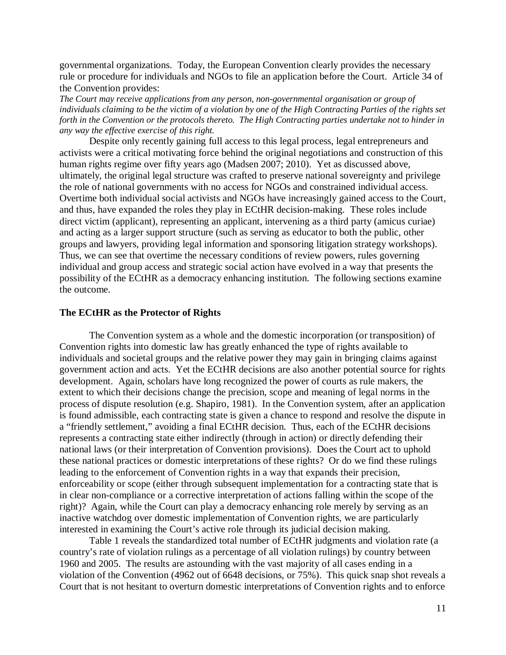governmental organizations. Today, the European Convention clearly provides the necessary rule or procedure for individuals and NGOs to file an application before the Court. Article 34 of the Convention provides:

*The Court may receive applications from any person, non-governmental organisation or group of individuals claiming to be the victim of a violation by one of the High Contracting Parties of the rights set forth in the Convention or the protocols thereto. The High Contracting parties undertake not to hinder in any way the effective exercise of this right.* 

Despite only recently gaining full access to this legal process, legal entrepreneurs and activists were a critical motivating force behind the original negotiations and construction of this human rights regime over fifty years ago (Madsen 2007; 2010). Yet as discussed above, ultimately, the original legal structure was crafted to preserve national sovereignty and privilege the role of national governments with no access for NGOs and constrained individual access. Overtime both individual social activists and NGOs have increasingly gained access to the Court, and thus, have expanded the roles they play in ECtHR decision-making. These roles include direct victim (applicant), representing an applicant, intervening as a third party (amicus curiae) and acting as a larger support structure (such as serving as educator to both the public, other groups and lawyers, providing legal information and sponsoring litigation strategy workshops). Thus, we can see that overtime the necessary conditions of review powers, rules governing individual and group access and strategic social action have evolved in a way that presents the possibility of the ECtHR as a democracy enhancing institution. The following sections examine the outcome.

### **The ECtHR as the Protector of Rights**

The Convention system as a whole and the domestic incorporation (or transposition) of Convention rights into domestic law has greatly enhanced the type of rights available to individuals and societal groups and the relative power they may gain in bringing claims against government action and acts. Yet the ECtHR decisions are also another potential source for rights development. Again, scholars have long recognized the power of courts as rule makers, the extent to which their decisions change the precision, scope and meaning of legal norms in the process of dispute resolution (e.g. Shapiro, 1981). In the Convention system, after an application is found admissible, each contracting state is given a chance to respond and resolve the dispute in a "friendly settlement," avoiding a final ECtHR decision. Thus, each of the ECtHR decisions represents a contracting state either indirectly (through in action) or directly defending their national laws (or their interpretation of Convention provisions). Does the Court act to uphold these national practices or domestic interpretations of these rights? Or do we find these rulings leading to the enforcement of Convention rights in a way that expands their precision, enforceability or scope (either through subsequent implementation for a contracting state that is in clear non-compliance or a corrective interpretation of actions falling within the scope of the right)? Again, while the Court can play a democracy enhancing role merely by serving as an inactive watchdog over domestic implementation of Convention rights, we are particularly interested in examining the Court's active role through its judicial decision making.

Table 1 reveals the standardized total number of ECtHR judgments and violation rate (a country's rate of violation rulings as a percentage of all violation rulings) by country between 1960 and 2005. The results are astounding with the vast majority of all cases ending in a violation of the Convention (4962 out of 6648 decisions, or 75%). This quick snap shot reveals a Court that is not hesitant to overturn domestic interpretations of Convention rights and to enforce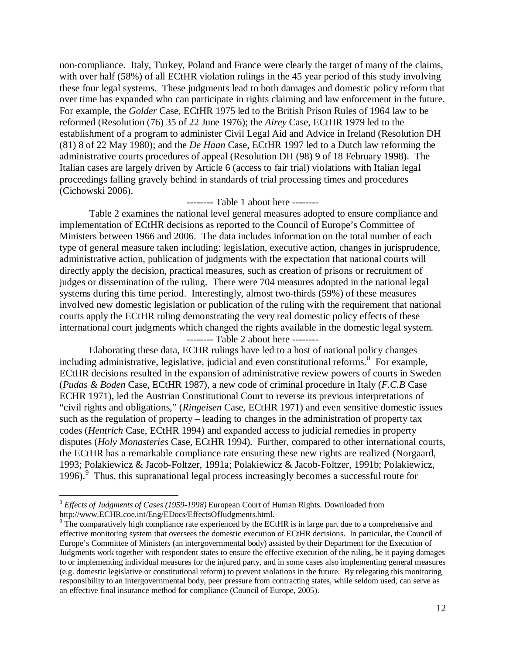non-compliance. Italy, Turkey, Poland and France were clearly the target of many of the claims, with over half (58%) of all ECtHR violation rulings in the 45 year period of this study involving these four legal systems. These judgments lead to both damages and domestic policy reform that over time has expanded who can participate in rights claiming and law enforcement in the future. For example, the *Golder* Case, ECtHR 1975 led to the British Prison Rules of 1964 law to be reformed (Resolution (76) 35 of 22 June 1976); the *Airey* Case, ECtHR 1979 led to the establishment of a program to administer Civil Legal Aid and Advice in Ireland (Resolution DH (81) 8 of 22 May 1980); and the *De Haan* Case, ECtHR 1997 led to a Dutch law reforming the administrative courts procedures of appeal (Resolution DH (98) 9 of 18 February 1998). The Italian cases are largely driven by Article 6 (access to fair trial) violations with Italian legal proceedings falling gravely behind in standards of trial processing times and procedures (Cichowski 2006).

## -------- Table 1 about here --------

 Table 2 examines the national level general measures adopted to ensure compliance and implementation of ECtHR decisions as reported to the Council of Europe's Committee of Ministers between 1966 and 2006. The data includes information on the total number of each type of general measure taken including: legislation, executive action, changes in jurisprudence, administrative action, publication of judgments with the expectation that national courts will directly apply the decision, practical measures, such as creation of prisons or recruitment of judges or dissemination of the ruling. There were 704 measures adopted in the national legal systems during this time period. Interestingly, almost two-thirds (59%) of these measures involved new domestic legislation or publication of the ruling with the requirement that national courts apply the ECtHR ruling demonstrating the very real domestic policy effects of these international court judgments which changed the rights available in the domestic legal system.

### -------- Table 2 about here --------

Elaborating these data, ECHR rulings have led to a host of national policy changes including administrative, legislative, judicial and even constitutional reforms.<sup>[8](#page-12-0)</sup> For example, ECtHR decisions resulted in the expansion of administrative review powers of courts in Sweden (*Pudas & Boden* Case, ECtHR 1987), a new code of criminal procedure in Italy (*F.C.B* Case ECHR 1971), led the Austrian Constitutional Court to reverse its previous interpretations of "civil rights and obligations," (*Ringeisen* Case, ECtHR 1971) and even sensitive domestic issues such as the regulation of property – leading to changes in the administration of property tax codes (*Hentrich* Case, ECtHR 1994) and expanded access to judicial remedies in property disputes (*Holy Monasteries* Case, ECtHR 1994). Further, compared to other international courts, the ECtHR has a remarkable compliance rate ensuring these new rights are realized (Norgaard, 1993; Polakiewicz & Jacob-Foltzer, 1991a; Polakiewicz & Jacob-Foltzer, 1991b; Polakiewicz, 1[9](#page-12-1)96).<sup>9</sup> Thus, this supranational legal process increasingly becomes a successful route for

<span id="page-12-0"></span> <sup>8</sup> *Effects of Judgments of Cases (1959-1998)* European Court of Human Rights. Downloaded from http://www.ECHR.coe.int/Eng/EDocs/EffectsOfJudgments.html.

<span id="page-12-1"></span><sup>&</sup>lt;sup>9</sup> The comparatively high compliance rate experienced by the ECtHR is in large part due to a comprehensive and effective monitoring system that oversees the domestic execution of ECtHR decisions. In particular, the Council of Europe's Committee of Ministers (an intergovernmental body) assisted by their Department for the Execution of Judgments work together with respondent states to ensure the effective execution of the ruling, be it paying damages to or implementing individual measures for the injured party, and in some cases also implementing general measures (e.g. domestic legislative or constitutional reform) to prevent violations in the future. By relegating this monitoring responsibility to an intergovernmental body, peer pressure from contracting states, while seldom used, can serve as an effective final insurance method for compliance (Council of Europe, 2005).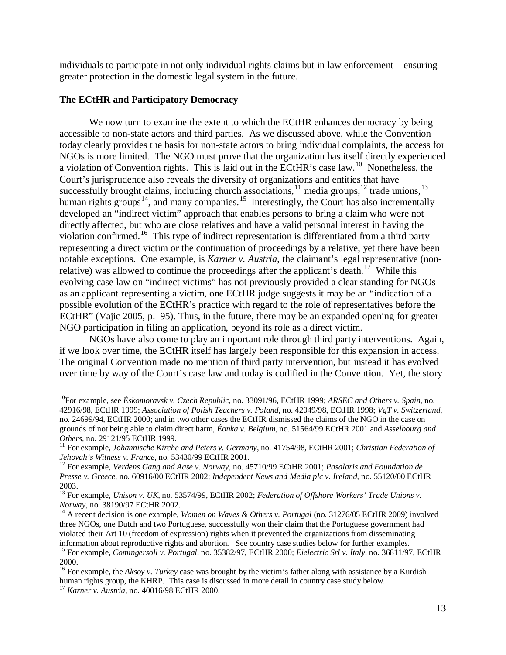individuals to participate in not only individual rights claims but in law enforcement – ensuring greater protection in the domestic legal system in the future.

## **The ECtHR and Participatory Democracy**

We now turn to examine the extent to which the ECtHR enhances democracy by being accessible to non-state actors and third parties. As we discussed above, while the Convention today clearly provides the basis for non-state actors to bring individual complaints, the access for NGOs is more limited. The NGO must prove that the organization has itself directly experienced a violation of Convention rights. This is laid out in the ECtHR's case law.<sup>[10](#page-13-0)</sup> Nonetheless, the Court's jurisprudence also reveals the diversity of organizations and entities that have successfully brought claims, including church associations,<sup>[11](#page-13-1)</sup> media groups,<sup>[12](#page-13-2)</sup> trade unions,<sup>[13](#page-13-3)</sup> human rights groups<sup>[14](#page-13-4)</sup>, and many companies.<sup>[15](#page-13-5)</sup> Interestingly, the Court has also incrementally developed an "indirect victim" approach that enables persons to bring a claim who were not directly affected, but who are close relatives and have a valid personal interest in having the violation confirmed.<sup>16</sup> This type of indirect representation is differentiated from a third party representing a direct victim or the continuation of proceedings by a relative, yet there have been notable exceptions. One example, is *Karner v. Austria*, the claimant's legal representative (non-relative) was allowed to continue the proceedings after the applicant's death.<sup>[17](#page-13-7)</sup> While this evolving case law on "indirect victims" has not previously provided a clear standing for NGOs as an applicant representing a victim, one ECtHR judge suggests it may be an "indication of a possible evolution of the ECtHR's practice with regard to the role of representatives before the ECtHR" (Vajic 2005, p. 95). Thus, in the future, there may be an expanded opening for greater NGO participation in filing an application, beyond its role as a direct victim.

NGOs have also come to play an important role through third party interventions. Again, if we look over time, the ECtHR itself has largely been responsible for this expansion in access. The original Convention made no mention of third party intervention, but instead it has evolved over time by way of the Court's case law and today is codified in the Convention. Yet, the story

<span id="page-13-0"></span> <sup>10</sup>For example, see *Éskomoravsk v. Czech Republic*, no. 33091/96, ECtHR 1999; *ARSEC and Others v. Spain*, no. 42916/98, ECtHR 1999; *Association of Polish Teachers v. Poland*, no. 42049/98, ECtHR 1998; *VgT v. Switzerland*, no. 24699/94, ECtHR 2000; and in two other cases the ECtHR dismissed the claims of the NGO in the case on grounds of not being able to claim direct harm, *Éonka v. Belgium*, no. 51564/99 ECtHR 2001 and *Asselbourg and* 

<span id="page-13-1"></span><sup>&</sup>lt;sup>11</sup> For example, *Johannische Kirche and Peters v. Germany*, no. 41754/98, ECtHR 2001; *Christian Federation of Jehovah's Witness v. France*, no. 53430/99 ECtHR 2001.<br><sup>12</sup> For example, *Verdens Gang and Aase v. Norway*, no. 45710/99 ECtHR 2001; *Pasalaris and Foundation de* 

<span id="page-13-2"></span>*Presse v. Greece*, no. 60916/00 ECtHR 2002; *Independent News and Media plc v. Ireland*, no. 55120/00 ECtHR

<span id="page-13-3"></span><sup>&</sup>lt;sup>13</sup> For example, *Unison v. UK*, no. 53574/99, ECtHR 2002; *Federation of Offshore Workers' Trade Unions v. Norway*, no. 38190/97 ECtHR 2002.

<span id="page-13-4"></span><sup>&</sup>lt;sup>14</sup> A recent decision is one example, *Women on Waves & Others v. Portugal* (no. 31276/05 ECtHR 2009) involved three NGOs, one Dutch and two Portuguese, successfully won their claim that the Portuguese government had violated their Art 10 (freedom of expression) rights when it prevented the organizations from disseminating information about reproductive rights and abortion. See country case studies below for further examples.<br><sup>15</sup> For example, *Comingersoll v. Portugal*, no. 35382/97, ECtHR 2000; *Eielectric Srl v. Italy*, no. 36811/97, ECtH 2000.

<span id="page-13-6"></span><span id="page-13-5"></span><sup>&</sup>lt;sup>16</sup> For example, the *Aksoy v. Turkey* case was brought by the victim's father along with assistance by a Kurdish human rights group, the KHRP. This case is discussed in more detail in country case study below.

<span id="page-13-7"></span><sup>17</sup> *Karner v. Austria*, no. 40016/98 ECtHR 2000.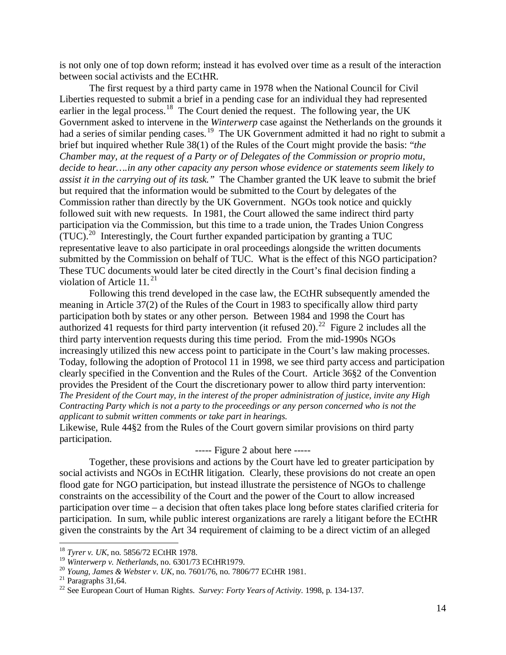is not only one of top down reform; instead it has evolved over time as a result of the interaction between social activists and the ECtHR.

The first request by a third party came in 1978 when the National Council for Civil Liberties requested to submit a brief in a pending case for an individual they had represented earlier in the legal process.<sup>18</sup> The Court denied the request. The following year, the UK Government asked to intervene in the *Winterwerp* case against the Netherlands on the grounds it had a series of similar pending cases.<sup>19</sup> The UK Government admitted it had no right to submit a brief but inquired whether Rule 38(1) of the Rules of the Court might provide the basis: "*the Chamber may, at the request of a Party or of Delegates of the Commission or proprio motu, decide to hear….in any other capacity any person whose evidence or statements seem likely to assist it in the carrying out of its task."* The Chamber granted the UK leave to submit the brief but required that the information would be submitted to the Court by delegates of the Commission rather than directly by the UK Government. NGOs took notice and quickly followed suit with new requests. In 1981, the Court allowed the same indirect third party participation via the Commission, but this time to a trade union, the Trades Union Congress  $(TUC).^{20}$  Interestingly, the Court further expanded participation by granting a TUC representative leave to also participate in oral proceedings alongside the written documents submitted by the Commission on behalf of TUC. What is the effect of this NGO participation? These TUC documents would later be cited directly in the Court's final decision finding a violation of Article 11.<sup>[21](#page-14-3)</sup>

Following this trend developed in the case law, the ECtHR subsequently amended the meaning in Article 37(2) of the Rules of the Court in 1983 to specifically allow third party participation both by states or any other person. Between 1984 and 1998 the Court has authorized 41 requests for third party intervention (it refused 20).<sup>[22](#page-14-4)</sup> Figure 2 includes all the *The President of the Court may, in the interest of the proper administration of justice, invite any High Contracting Party which is not a party to the proceedings or any person concerned who is not the applicant to submit written comments or take part in hearings.* third party intervention requests during this time period. From the mid-1990s NGOs increasingly utilized this new access point to participate in the Court's law making processes. Today, following the adoption of Protocol 11 in 1998, we see third party access and participation clearly specified in the Convention and the Rules of the Court. Article 36§2 of the Convention provides the President of the Court the discretionary power to allow third party intervention:

Likewise, Rule 44§2 from the Rules of the Court govern similar provisions on third party participation.

----- Figure 2 about here -----

Together, these provisions and actions by the Court have led to greater participation by social activists and NGOs in ECtHR litigation. Clearly, these provisions do not create an open flood gate for NGO participation, but instead illustrate the persistence of NGOs to challenge constraints on the accessibility of the Court and the power of the Court to allow increased participation over time – a decision that often takes place long before states clarified criteria for participation. In sum, while public interest organizations are rarely a litigant before the ECtHR given the constraints by the Art 34 requirement of claiming to be a direct victim of an alleged

<span id="page-14-0"></span> <sup>18</sup> *Tyrer v. UK*, no. 5856/72 ECtHR 1978.

<span id="page-14-4"></span>

<span id="page-14-3"></span><span id="page-14-2"></span><span id="page-14-1"></span><sup>&</sup>lt;sup>20</sup> Young, James & Webster v. UK, no. 7601/76, no. 7806/77 ECtHR 1981.<br><sup>21</sup> Paragraphs 31,64.<br><sup>22</sup> See European Court of Human Rights. *Survey: Forty Years of Activity*. 1998, p. 134-137.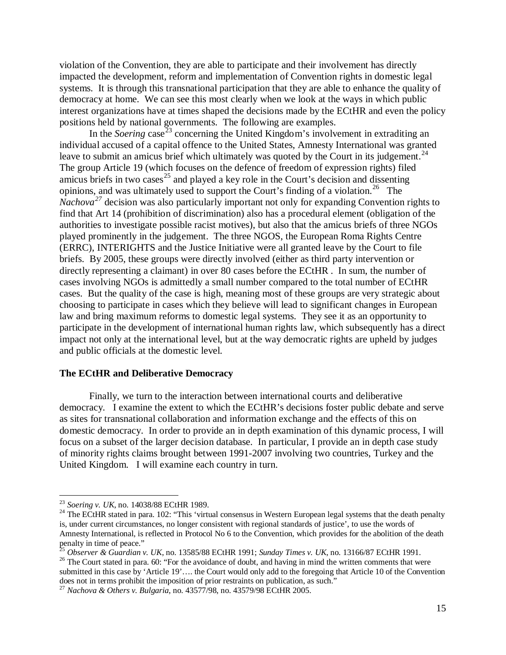violation of the Convention, they are able to participate and their involvement has directly impacted the development, reform and implementation of Convention rights in domestic legal systems. It is through this transnational participation that they are able to enhance the quality of democracy at home. We can see this most clearly when we look at the ways in which public interest organizations have at times shaped the decisions made by the ECtHR and even the policy positions held by national governments. The following are examples.

In the *Soering* case<sup> $^{23}$  $^{23}$  $^{23}$ </sup> concerning the United Kingdom's involvement in extraditing an individual accused of a capital offence to the United States, Amnesty International was granted leave to submit an amicus brief which ultimately was quoted by the Court in its judgement.<sup>[24](#page-15-1)</sup> The group Article 19 (which focuses on the defence of freedom of expression rights) filed amicus briefs in two cases<sup>[25](#page-15-2)</sup> and played a key role in the Court's decision and dissenting opinions, and was ultimately used to support the Court's finding of a violation.<sup>[26](#page-15-3)</sup> The *Nachova*<sup>[27](#page-15-4)</sup> decision was also particularly important not only for expanding Convention rights to find that Art 14 (prohibition of discrimination) also has a procedural element (obligation of the authorities to investigate possible racist motives), but also that the amicus briefs of three NGOs played prominently in the judgement. The three NGOS, the European Roma Rights Centre (ERRC), INTERIGHTS and the Justice Initiative were all granted leave by the Court to file briefs. By 2005, these groups were directly involved (either as third party intervention or directly representing a claimant) in over 80 cases before the ECtHR . In sum, the number of cases involving NGOs is admittedly a small number compared to the total number of ECtHR cases. But the quality of the case is high, meaning most of these groups are very strategic about choosing to participate in cases which they believe will lead to significant changes in European law and bring maximum reforms to domestic legal systems. They see it as an opportunity to participate in the development of international human rights law, which subsequently has a direct impact not only at the international level, but at the way democratic rights are upheld by judges and public officials at the domestic level.

## **The ECtHR and Deliberative Democracy**

Finally, we turn to the interaction between international courts and deliberative democracy. I examine the extent to which the ECtHR's decisions foster public debate and serve as sites for transnational collaboration and information exchange and the effects of this on domestic democracy. In order to provide an in depth examination of this dynamic process, I will focus on a subset of the larger decision database. In particular, I provide an in depth case study of minority rights claims brought between 1991-2007 involving two countries, Turkey and the United Kingdom. I will examine each country in turn.

<span id="page-15-1"></span><span id="page-15-0"></span><sup>&</sup>lt;sup>23</sup> *Soering v. UK*, no. 14038/88 ECtHR 1989.<br><sup>24</sup> The ECtHR stated in para. 102: "This 'virtual consensus in Western European legal systems that the death penalty is, under current circumstances, no longer consistent with regional standards of justice', to use the words of Amnesty International, is reflected in Protocol No 6 to the Convention, which provides for the abolition of the death penalty in time of peace."<br><sup>25</sup> Observer & Guardian v. UK. no. 13585/88 ECtHR 1991: Sunday Times v. UK. no. 13166/87 ECtHR 1991.

<span id="page-15-3"></span><span id="page-15-2"></span><sup>&</sup>lt;sup>26</sup> The Court stated in para. 60: "For the avoidance of doubt, and having in mind the written comments that were submitted in this case by 'Article 19'…. the Court would only add to the foregoing that Article 10 of the Convention does not in terms prohibit the imposition of prior restraints on publication, as such." <sup>27</sup> *Nachova & Others v. Bulgaria*, no. 43577/98, no. 43579/98 ECtHR 2005.

<span id="page-15-4"></span>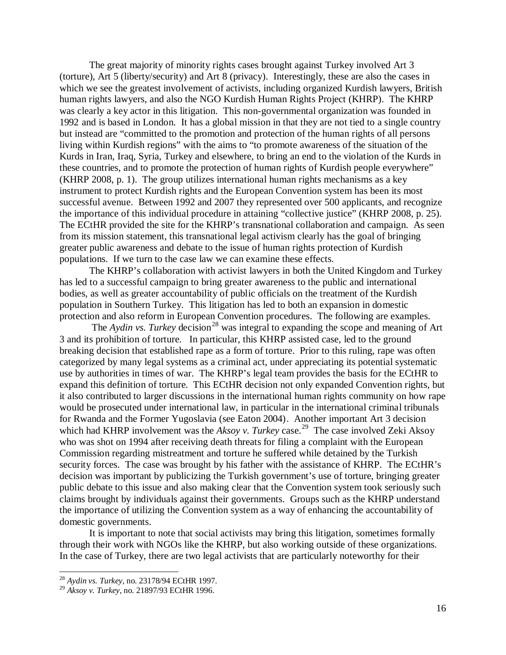The great majority of minority rights cases brought against Turkey involved Art 3 (torture), Art 5 (liberty/security) and Art 8 (privacy). Interestingly, these are also the cases in which we see the greatest involvement of activists, including organized Kurdish lawyers, British human rights lawyers, and also the NGO Kurdish Human Rights Project (KHRP). The KHRP was clearly a key actor in this litigation. This non-governmental organization was founded in 1992 and is based in London. It has a global mission in that they are not tied to a single country but instead are "committed to the promotion and protection of the human rights of all persons living within Kurdish regions" with the aims to "to promote awareness of the situation of the Kurds in Iran, Iraq, Syria, Turkey and elsewhere, to bring an end to the violation of the Kurds in these countries, and to promote the protection of human rights of Kurdish people everywhere" (KHRP 2008, p. 1). The group utilizes international human rights mechanisms as a key instrument to protect Kurdish rights and the European Convention system has been its most successful avenue. Between 1992 and 2007 they represented over 500 applicants, and recognize the importance of this individual procedure in attaining "collective justice" (KHRP 2008, p. 25). The ECtHR provided the site for the KHRP's transnational collaboration and campaign. As seen from its mission statement, this transnational legal activism clearly has the goal of bringing greater public awareness and debate to the issue of human rights protection of Kurdish populations. If we turn to the case law we can examine these effects.

The KHRP's collaboration with activist lawyers in both the United Kingdom and Turkey has led to a successful campaign to bring greater awareness to the public and international bodies, as well as greater accountability of public officials on the treatment of the Kurdish population in Southern Turkey. This litigation has led to both an expansion in domestic protection and also reform in European Convention procedures. The following are examples.

The *Aydin vs. Turkey* decision<sup>[28](#page-16-0)</sup> was integral to expanding the scope and meaning of Art 3 and its prohibition of torture. In particular, this KHRP assisted case, led to the ground breaking decision that established rape as a form of torture. Prior to this ruling, rape was often categorized by many legal systems as a criminal act, under appreciating its potential systematic use by authorities in times of war. The KHRP's legal team provides the basis for the ECtHR to expand this definition of torture. This ECtHR decision not only expanded Convention rights, but it also contributed to larger discussions in the international human rights community on how rape would be prosecuted under international law, in particular in the international criminal tribunals for Rwanda and the Former Yugoslavia (see Eaton 2004). Another important Art 3 decision which had KHRP involvement was the *Aksoy v. Turkey* case.<sup>[29](#page-16-1)</sup> The case involved Zeki Aksoy who was shot on 1994 after receiving death threats for filing a complaint with the European Commission regarding mistreatment and torture he suffered while detained by the Turkish security forces. The case was brought by his father with the assistance of KHRP. The ECtHR's decision was important by publicizing the Turkish government's use of torture, bringing greater public debate to this issue and also making clear that the Convention system took seriously such claims brought by individuals against their governments. Groups such as the KHRP understand the importance of utilizing the Convention system as a way of enhancing the accountability of domestic governments.

It is important to note that social activists may bring this litigation, sometimes formally through their work with NGOs like the KHRP, but also working outside of these organizations. In the case of Turkey, there are two legal activists that are particularly noteworthy for their

 <sup>28</sup> *Aydin vs. Turkey*, no. 23178/94 ECtHR 1997.

<span id="page-16-1"></span><span id="page-16-0"></span><sup>29</sup> *Aksoy v. Turkey*, no. 21897/93 ECtHR 1996.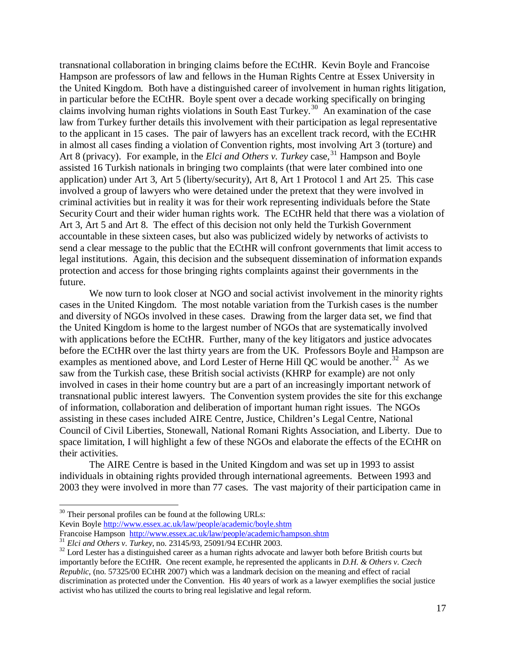transnational collaboration in bringing claims before the ECtHR. Kevin Boyle and Francoise Hampson are professors of law and fellows in the Human Rights Centre at Essex University in the United Kingdom. Both have a distinguished career of involvement in human rights litigation, in particular before the ECtHR. Boyle spent over a decade working specifically on bringing claims involving human rights violations in South East Turkey.<sup>30</sup> An examination of the case law from Turkey further details this involvement with their participation as legal representative to the applicant in 15 cases. The pair of lawyers has an excellent track record, with the ECtHR in almost all cases finding a violation of Convention rights, most involving Art 3 (torture) and Art 8 (privacy). For example, in the *Elci and Others v. Turkey* case,<sup>[31](#page-17-1)</sup> Hampson and Boyle assisted 16 Turkish nationals in bringing two complaints (that were later combined into one application) under Art 3, Art 5 (liberty/security), Art 8, Art 1 Protocol 1 and Art 25. This case involved a group of lawyers who were detained under the pretext that they were involved in criminal activities but in reality it was for their work representing individuals before the State Security Court and their wider human rights work. The ECtHR held that there was a violation of Art 3, Art 5 and Art 8. The effect of this decision not only held the Turkish Government accountable in these sixteen cases, but also was publicized widely by networks of activists to send a clear message to the public that the ECtHR will confront governments that limit access to legal institutions. Again, this decision and the subsequent dissemination of information expands protection and access for those bringing rights complaints against their governments in the future.

We now turn to look closer at NGO and social activist involvement in the minority rights cases in the United Kingdom. The most notable variation from the Turkish cases is the number and diversity of NGOs involved in these cases. Drawing from the larger data set, we find that the United Kingdom is home to the largest number of NGOs that are systematically involved with applications before the ECtHR. Further, many of the key litigators and justice advocates before the ECtHR over the last thirty years are from the UK. Professors Boyle and Hampson are examples as mentioned above, and Lord Lester of Herne Hill QC would be another.<sup>[32](#page-17-2)</sup> As we saw from the Turkish case, these British social activists (KHRP for example) are not only involved in cases in their home country but are a part of an increasingly important network of transnational public interest lawyers. The Convention system provides the site for this exchange of information, collaboration and deliberation of important human right issues. The NGOs assisting in these cases included AIRE Centre, Justice, Children's Legal Centre, National Council of Civil Liberties, Stonewall, National Romani Rights Association, and Liberty. Due to space limitation, I will highlight a few of these NGOs and elaborate the effects of the ECtHR on their activities.

The AIRE Centre is based in the United Kingdom and was set up in 1993 to assist individuals in obtaining rights provided through international agreements. Between 1993 and 2003 they were involved in more than 77 cases. The vast majority of their participation came in

<span id="page-17-0"></span> $30$  Their personal profiles can be found at the following URLs:

Kevin Boyle<http://www.essex.ac.uk/law/people/academic/boyle.shtm><br>Francoise Hampson http://www.essex.ac.uk/law/people/academic/hampson.shtm

<span id="page-17-2"></span>

<span id="page-17-1"></span><sup>&</sup>lt;sup>31</sup> Elci and Others v. Turkey, no. 23145/93, 25091/94 ECtHR 2003.<br><sup>32</sup> Lord Lester has a distinguished career as a human rights advocate and lawyer both before British courts but importantly before the ECtHR. One recent example, he represented the applicants in *D.H. & Others v. Czech Republic*, (no. 57325/00 ECtHR 2007) which was a landmark decision on the meaning and effect of racial discrimination as protected under the Convention. His 40 years of work as a lawyer exemplifies the social justice activist who has utilized the courts to bring real legislative and legal reform.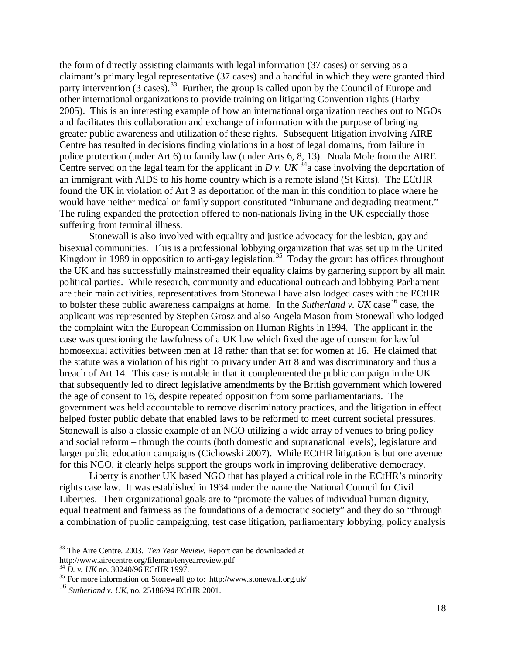the form of directly assisting claimants with legal information (37 cases) or serving as a claimant's primary legal representative (37 cases) and a handful in which they were granted third party intervention (3 cases).<sup>33</sup> Further, the group is called upon by the Council of Europe and other international organizations to provide training on litigating Convention rights (Harby 2005). This is an interesting example of how an international organization reaches out to NGOs and facilitates this collaboration and exchange of information with the purpose of bringing greater public awareness and utilization of these rights. Subsequent litigation involving AIRE Centre has resulted in decisions finding violations in a host of legal domains, from failure in police protection (under Art 6) to family law (under Arts 6, 8, 13). Nuala Mole from the AIRE Centre served on the legal team for the applicant in *D v. UK*  $34$  case involving the deportation of an immigrant with AIDS to his home country which is a remote island (St Kitts). The ECtHR found the UK in violation of Art 3 as deportation of the man in this condition to place where he would have neither medical or family support constituted "inhumane and degrading treatment." The ruling expanded the protection offered to non-nationals living in the UK especially those suffering from terminal illness.

Stonewall is also involved with equality and justice advocacy for the lesbian, gay and bisexual communities. This is a professional lobbying organization that was set up in the United Kingdom in 1989 in opposition to anti-gay legislation.<sup>[35](#page-18-2)</sup> Today the group has offices throughout the UK and has successfully mainstreamed their equality claims by garnering support by all main political parties. While research, community and educational outreach and lobbying Parliament are their main activities, representatives from Stonewall have also lodged cases with the ECtHR to bolster these public awareness campaigns at home. In the *Sutherland v. UK* case<sup>[36](#page-18-3)</sup> case, the applicant was represented by Stephen Grosz and also Angela Mason from Stonewall who lodged the complaint with the European Commission on Human Rights in 1994. The applicant in the case was questioning the lawfulness of a UK law which fixed the age of consent for lawful homosexual activities between men at 18 rather than that set for women at 16. He claimed that the statute was a violation of his right to privacy under Art 8 and was discriminatory and thus a breach of Art 14. This case is notable in that it complemented the public campaign in the UK that subsequently led to direct legislative amendments by the British government which lowered the age of consent to 16, despite repeated opposition from some parliamentarians. The government was held accountable to remove discriminatory practices, and the litigation in effect helped foster public debate that enabled laws to be reformed to meet current societal pressures. Stonewall is also a classic example of an NGO utilizing a wide array of venues to bring policy and social reform – through the courts (both domestic and supranational levels), legislature and larger public education campaigns (Cichowski 2007). While ECtHR litigation is but one avenue for this NGO, it clearly helps support the groups work in improving deliberative democracy.

Liberty is another UK based NGO that has played a critical role in the ECtHR's minority rights case law. It was established in 1934 under the name the National Council for Civil Liberties. Their organizational goals are to "promote the values of individual human dignity, equal treatment and fairness as the foundations of a democratic society" and they do so "through a combination of public campaigning, test case litigation, parliamentary lobbying, policy analysis

<span id="page-18-0"></span> <sup>33</sup> The Aire Centre. 2003. *Ten Year Review*. Report can be downloaded at

http://www.airecentre.org/fileman/tenyearreview.pdf <sup>34</sup> D. v. UK no. 30240/96 ECtHR 1997.

<span id="page-18-2"></span><span id="page-18-1"></span><sup>&</sup>lt;sup>35</sup> For more information on Stonewall go to: http://www.stonewall.org.uk/

<span id="page-18-3"></span><sup>36</sup> *Sutherland v. UK*, no. 25186/94 ECtHR 2001.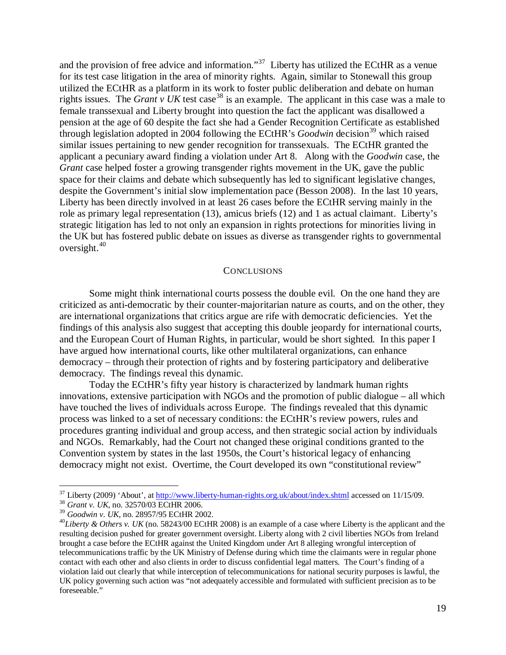and the provision of free advice and information."<sup>[37](#page-19-0)</sup> Liberty has utilized the ECtHR as a venue for its test case litigation in the area of minority rights. Again, similar to Stonewall this group utilized the ECtHR as a platform in its work to foster public deliberation and debate on human rights issues. The *Grant v UK* test case<sup>[38](#page-19-1)</sup> is an example. The applicant in this case was a male to female transsexual and Liberty brought into question the fact the applicant was disallowed a pension at the age of 60 despite the fact she had a Gender Recognition Certificate as established through legislation adopted in 2004 following the ECtHR's *Goodwin* decision<sup>[39](#page-19-2)</sup> which raised similar issues pertaining to new gender recognition for transsexuals. The ECtHR granted the applicant a pecuniary award finding a violation under Art 8. Along with the *Goodwin* case, the *Grant* case helped foster a growing transgender rights movement in the UK, gave the public space for their claims and debate which subsequently has led to significant legislative changes, despite the Government's initial slow implementation pace (Besson 2008). In the last 10 years, Liberty has been directly involved in at least 26 cases before the ECtHR serving mainly in the role as primary legal representation (13), amicus briefs (12) and 1 as actual claimant. Liberty's strategic litigation has led to not only an expansion in rights protections for minorities living in the UK but has fostered public debate on issues as diverse as transgender rights to governmental oversight. [40](#page-19-3)

#### **CONCLUSIONS**

Some might think international courts possess the double evil. On the one hand they are criticized as anti-democratic by their counter-majoritarian nature as courts, and on the other, they are international organizations that critics argue are rife with democratic deficiencies. Yet the findings of this analysis also suggest that accepting this double jeopardy for international courts, and the European Court of Human Rights, in particular, would be short sighted. In this paper I have argued how international courts, like other multilateral organizations, can enhance democracy – through their protection of rights and by fostering participatory and deliberative democracy. The findings reveal this dynamic.

Today the ECtHR's fifty year history is characterized by landmark human rights innovations, extensive participation with NGOs and the promotion of public dialogue – all which have touched the lives of individuals across Europe. The findings revealed that this dynamic process was linked to a set of necessary conditions: the ECtHR's review powers, rules and procedures granting individual and group access, and then strategic social action by individuals and NGOs. Remarkably, had the Court not changed these original conditions granted to the Convention system by states in the last 1950s, the Court's historical legacy of enhancing democracy might not exist. Overtime, the Court developed its own "constitutional review"

<span id="page-19-0"></span><sup>&</sup>lt;sup>37</sup> Liberty (2009) 'About', at <u>http://www.liberty-human-rights.org.uk/about/index.shtml</u> accessed on 11/15/09.<br><sup>38</sup> *Grant v. UK*, no. 32570/03 ECtHR 2006.<br><sup>39</sup> *Goodwin v. UK*, no. 28957/95 ECtHR 2002.

<span id="page-19-1"></span>

<span id="page-19-3"></span><span id="page-19-2"></span><sup>&</sup>lt;sup>40</sup>Liberty & Others v. UK (no. 58243/00 ECtHR 2008) is an example of a case where Liberty is the applicant and the resulting decision pushed for greater government oversight. Liberty along with 2 civil liberties NGOs from Ireland brought a case before the ECtHR against the United Kingdom under Art 8 alleging wrongful interception of telecommunications traffic by the UK Ministry of Defense during which time the claimants were in regular phone contact with each other and also clients in order to discuss confidential legal matters. The Court's finding of a violation laid out clearly that while interception of telecommunications for national security purposes is lawful, the UK policy governing such action was "not adequately accessible and formulated with sufficient precision as to be foreseeable."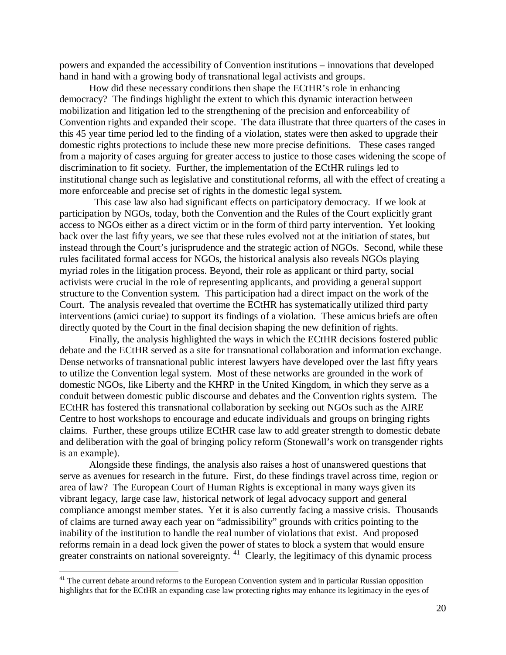powers and expanded the accessibility of Convention institutions – innovations that developed hand in hand with a growing body of transnational legal activists and groups.

How did these necessary conditions then shape the ECtHR's role in enhancing democracy? The findings highlight the extent to which this dynamic interaction between mobilization and litigation led to the strengthening of the precision and enforceability of Convention rights and expanded their scope. The data illustrate that three quarters of the cases in this 45 year time period led to the finding of a violation, states were then asked to upgrade their domestic rights protections to include these new more precise definitions. These cases ranged from a majority of cases arguing for greater access to justice to those cases widening the scope of discrimination to fit society. Further, the implementation of the ECtHR rulings led to institutional change such as legislative and constitutional reforms, all with the effect of creating a more enforceable and precise set of rights in the domestic legal system.

 This case law also had significant effects on participatory democracy. If we look at participation by NGOs, today, both the Convention and the Rules of the Court explicitly grant access to NGOs either as a direct victim or in the form of third party intervention. Yet looking back over the last fifty years, we see that these rules evolved not at the initiation of states, but instead through the Court's jurisprudence and the strategic action of NGOs. Second, while these rules facilitated formal access for NGOs, the historical analysis also reveals NGOs playing myriad roles in the litigation process. Beyond, their role as applicant or third party, social activists were crucial in the role of representing applicants, and providing a general support structure to the Convention system. This participation had a direct impact on the work of the Court. The analysis revealed that overtime the ECtHR has systematically utilized third party interventions (amici curiae) to support its findings of a violation. These amicus briefs are often directly quoted by the Court in the final decision shaping the new definition of rights.

Finally, the analysis highlighted the ways in which the ECtHR decisions fostered public debate and the ECtHR served as a site for transnational collaboration and information exchange. Dense networks of transnational public interest lawyers have developed over the last fifty years to utilize the Convention legal system. Most of these networks are grounded in the work of domestic NGOs, like Liberty and the KHRP in the United Kingdom, in which they serve as a conduit between domestic public discourse and debates and the Convention rights system. The ECtHR has fostered this transnational collaboration by seeking out NGOs such as the AIRE Centre to host workshops to encourage and educate individuals and groups on bringing rights claims. Further, these groups utilize ECtHR case law to add greater strength to domestic debate and deliberation with the goal of bringing policy reform (Stonewall's work on transgender rights is an example).

Alongside these findings, the analysis also raises a host of unanswered questions that serve as avenues for research in the future. First, do these findings travel across time, region or area of law? The European Court of Human Rights is exceptional in many ways given its vibrant legacy, large case law, historical network of legal advocacy support and general compliance amongst member states. Yet it is also currently facing a massive crisis. Thousands of claims are turned away each year on "admissibility" grounds with critics pointing to the inability of the institution to handle the real number of violations that exist. And proposed reforms remain in a dead lock given the power of states to block a system that would ensure greater constraints on national sovereignty.<sup>[41](#page-20-0)</sup> Clearly, the legitimacy of this dynamic process

<span id="page-20-0"></span><sup>&</sup>lt;sup>41</sup> The current debate around reforms to the European Convention system and in particular Russian opposition highlights that for the ECtHR an expanding case law protecting rights may enhance its legitimacy in the eyes of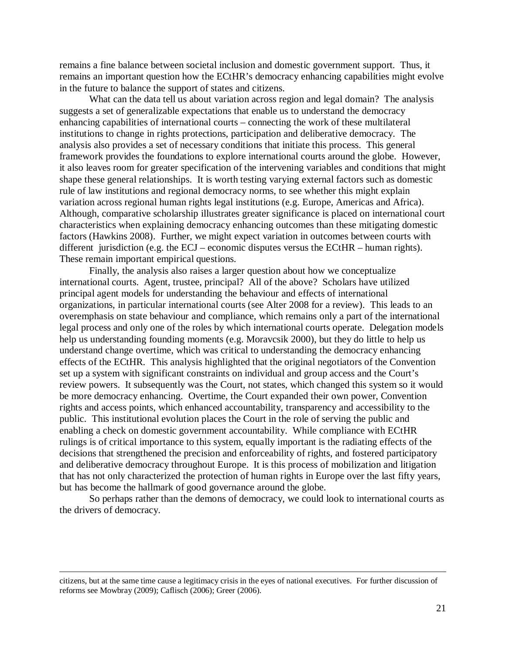remains a fine balance between societal inclusion and domestic government support. Thus, it remains an important question how the ECtHR's democracy enhancing capabilities might evolve in the future to balance the support of states and citizens.

What can the data tell us about variation across region and legal domain? The analysis suggests a set of generalizable expectations that enable us to understand the democracy enhancing capabilities of international courts – connecting the work of these multilateral institutions to change in rights protections, participation and deliberative democracy. The analysis also provides a set of necessary conditions that initiate this process. This general framework provides the foundations to explore international courts around the globe. However, it also leaves room for greater specification of the intervening variables and conditions that might shape these general relationships. It is worth testing varying external factors such as domestic rule of law institutions and regional democracy norms, to see whether this might explain variation across regional human rights legal institutions (e.g. Europe, Americas and Africa). Although, comparative scholarship illustrates greater significance is placed on international court characteristics when explaining democracy enhancing outcomes than these mitigating domestic factors (Hawkins 2008). Further, we might expect variation in outcomes between courts with different jurisdiction (e.g. the ECJ – economic disputes versus the ECtHR – human rights). These remain important empirical questions.

Finally, the analysis also raises a larger question about how we conceptualize international courts. Agent, trustee, principal? All of the above? Scholars have utilized principal agent models for understanding the behaviour and effects of international organizations, in particular international courts (see Alter 2008 for a review). This leads to an overemphasis on state behaviour and compliance, which remains only a part of the international legal process and only one of the roles by which international courts operate. Delegation models help us understanding founding moments (e.g. Moravcsik 2000), but they do little to help us understand change overtime, which was critical to understanding the democracy enhancing effects of the ECtHR. This analysis highlighted that the original negotiators of the Convention set up a system with significant constraints on individual and group access and the Court's review powers. It subsequently was the Court, not states, which changed this system so it would be more democracy enhancing. Overtime, the Court expanded their own power, Convention rights and access points, which enhanced accountability, transparency and accessibility to the public. This institutional evolution places the Court in the role of serving the public and enabling a check on domestic government accountability. While compliance with ECtHR rulings is of critical importance to this system, equally important is the radiating effects of the decisions that strengthened the precision and enforceability of rights, and fostered participatory and deliberative democracy throughout Europe. It is this process of mobilization and litigation that has not only characterized the protection of human rights in Europe over the last fifty years, but has become the hallmark of good governance around the globe.

So perhaps rather than the demons of democracy, we could look to international courts as the drivers of democracy.

citizens, but at the same time cause a legitimacy crisis in the eyes of national executives. For further discussion of reforms see Mowbray (2009); Caflisch (2006); Greer (2006).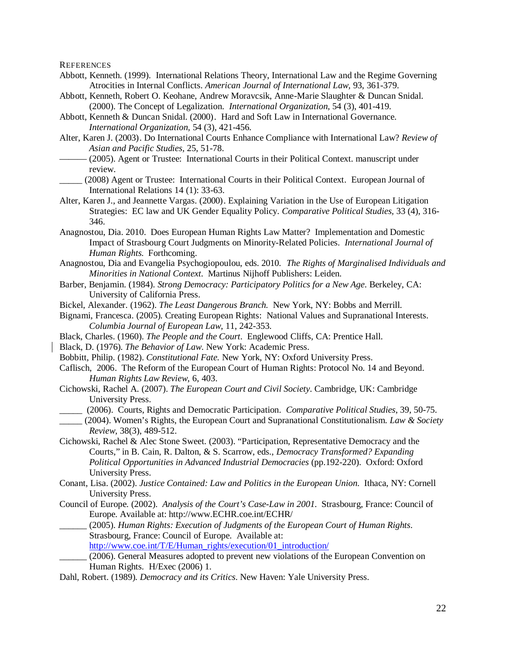**REFERENCES** 

- Abbott, Kenneth. (1999). International Relations Theory, International Law and the Regime Governing Atrocities in Internal Conflicts. *American Journal of International Law,* 93, 361-379.
- Abbott, Kenneth, Robert O. Keohane, Andrew Moravcsik, Anne-Marie Slaughter & Duncan Snidal. (2000). The Concept of Legalization. *International Organization*, 54 (3), 401-419.
- Abbott, Kenneth & Duncan Snidal. (2000). Hard and Soft Law in International Governance. *International Organization,* 54 (3), 421-456.
- Alter, Karen J. (2003). Do International Courts Enhance Compliance with International Law? *Review of Asian and Pacific Studies,* 25, 51-78.
- ——— (2005). Agent or Trustee: International Courts in their Political Context. manuscript under review.
- \_\_\_\_\_ (2008) Agent or Trustee: [International Courts in their Political Context.](http://papers.ssrn.com/sol3/papers.cfm?abstract_id=622222) European Journal of [International Relations 14 \(1\): 33-63.](http://papers.ssrn.com/sol3/papers.cfm?abstract_id=622222)
- Alter, Karen J., and Jeannette Vargas. (2000). Explaining Variation in the Use of European Litigation Strategies: EC law and UK Gender Equality Policy. *Comparative Political Studies,* 33 (4), 316- 346.
- Anagnostou, Dia. 2010. Does European Human Rights Law Matter? Implementation and Domestic Impact of Strasbourg Court Judgments on Minority-Related Policies. *International Journal of Human Rights*. Forthcoming.
- Anagnostou, Dia and Evangelia Psychogiopoulou, eds. 2010. *The Rights of Marginalised Individuals and Minorities in National Context*. Martinus Nijhoff Publishers: Leiden.
- Barber, Benjamin. (1984). *Strong Democracy: Participatory Politics for a New Age*. Berkeley, CA: University of California Press.
- Bickel, Alexander. (1962). *The Least Dangerous Branch.* New York, NY: Bobbs and Merrill.
- Bignami, Francesca. (2005). Creating European Rights: National Values and Supranational Interests. *Columbia Journal of European Law*, 11, 242-353.
- Black, Charles. (1960). *The People and the Court*. Englewood Cliffs, CA: Prentice Hall.
- Black, D. (1976). *The Behavior of Law*. New York: Academic Press.
- Bobbitt, Philip. (1982). *Constitutional Fate.* New York, NY: Oxford University Press.
- Caflisch, 2006. The Reform of the European Court of Human Rights: Protocol No. 14 and Beyond. *Human Rights Law Review*, 6, 403.
- Cichowski, Rachel A. (2007). *The European Court and Civil Society*. Cambridge, UK: Cambridge University Press.
	- \_\_\_\_\_ (2006). Courts, Rights and Democratic Participation. *Comparative Political Studies*, 39, 50-75.
- \_\_\_\_\_ (2004). Women's Rights, the European Court and Supranational Constitutionalism. *Law & Society Review,* 38(3), 489-512.
- Cichowski, Rachel & Alec Stone Sweet. (2003). "Participation, Representative Democracy and the Courts," in B. Cain, R. Dalton, & S. Scarrow, eds., *Democracy Transformed? Expanding Political Opportunities in Advanced Industrial Democracies* (pp.192-220). Oxford: Oxford University Press.
- Conant, Lisa. (2002). *Justice Contained: Law and Politics in the European Union*. Ithaca, NY: Cornell University Press.
- Council of Europe. (2002). *Analysis of the Court's Case-Law in 2001*. Strasbourg, France: Council of Europe. Available at: http://www.ECHR.coe.int/ECHR/
- \_\_\_\_\_\_ (2005). *Human Rights: Execution of Judgments of the European Court of Human Rights*. Strasbourg, France: Council of Europe. Available at:
	- [http://www.coe.int/T/E/Human\\_rights/execution/01\\_introduction/](http://www.coe.int/T/E/Human_rights/execution/01_introduction/)
- (2006). General Measures adopted to prevent new violations of the European Convention on Human Rights. H/Exec (2006) 1.
- Dahl, Robert. (1989). *Democracy and its Critics*. New Haven: Yale University Press.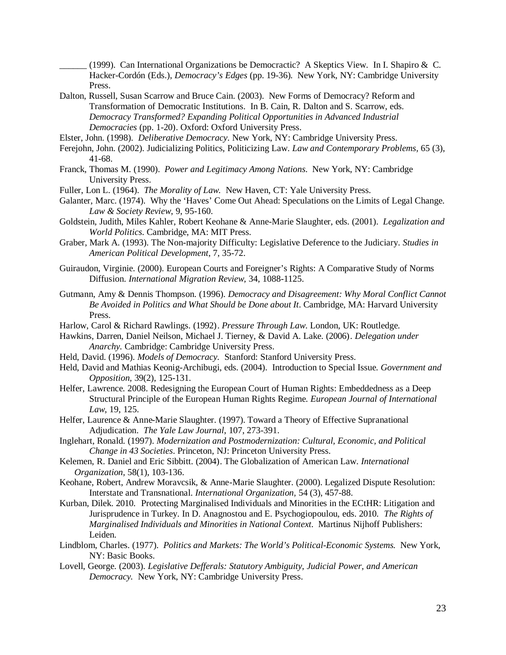(1999). Can International Organizations be Democractic? A Skeptics View. In I. Shapiro  $\&\ C$ . Hacker-Cordón (Eds.), *Democracy's Edges* (pp. 19-36). New York, NY: Cambridge University Press.

- Dalton, Russell, Susan Scarrow and Bruce Cain. (2003). New Forms of Democracy? Reform and Transformation of Democratic Institutions. In B. Cain, R. Dalton and S. Scarrow, eds. *Democracy Transformed? Expanding Political Opportunities in Advanced Industrial Democracies* (pp. 1-20). Oxford: Oxford University Press.
- Elster, John. (1998). *Deliberative Democracy*. New York, NY: Cambridge University Press.
- Ferejohn, John. (2002). Judicializing Politics, Politicizing Law. *Law and Contemporary Problems,* 65 (3), 41-68.
- Franck, Thomas M. (1990). *Power and Legitimacy Among Nations*. New York, NY: Cambridge University Press.
- Fuller, Lon L. (1964). *The Morality of Law.* New Haven, CT: Yale University Press.
- Galanter, Marc. (1974). Why the 'Haves' Come Out Ahead: Speculations on the Limits of Legal Change. *Law & Society Review*, 9, 95-160.
- Goldstein, Judith, Miles Kahler, Robert Keohane & Anne-Marie Slaughter, eds. (2001). *Legalization and World Politics*. Cambridge, MA: MIT Press.
- Graber, Mark A. (1993). The Non-majority Difficulty: Legislative Deference to the Judiciary. *Studies in American Political Development*, 7, 35-72.
- Guiraudon, Virginie. (2000). European Courts and Foreigner's Rights: A Comparative Study of Norms Diffusion. *International Migration Review,* 34, 1088-1125.
- Gutmann, Amy & Dennis Thompson. (1996). *Democracy and Disagreement: Why Moral Conflict Cannot Be Avoided in Politics and What Should be Done about It*. Cambridge, MA: Harvard University Press.
- Harlow, Carol & Richard Rawlings. (1992). *Pressure Through Law*. London, UK: Routledge.
- Hawkins, Darren, Daniel Neilson, Michael J. Tierney, & David A. Lake. (2006). *Delegation under Anarchy.* Cambridge: Cambridge University Press.
- Held, David. (1996). *Models of Democracy.* Stanford: Stanford University Press.
- Held, David and Mathias Keonig-Archibugi, eds. (2004). Introduction to Special Issue. *Government and Opposition,* 39(2), 125-131.
- Helfer, Lawrence. 2008. Redesigning the European Court of Human Rights: Embeddedness as a Deep Structural Principle of the European Human Rights Regime. *European Journal of International Law*, 19, 125.
- Helfer, Laurence & Anne-Marie Slaughter. (1997). Toward a Theory of Effective Supranational Adjudication. *The Yale Law Journal*, 107, 273-391.
- Inglehart, Ronald. (1997). *Modernization and Postmodernization: Cultural, Economic, and Political Change in 43 Societies*. Princeton, NJ: Princeton University Press.
- Kelemen, R. Daniel and Eric Sibbitt. (2004). The Globalization of American Law. *International Organization,* 58(1), 103-136.
- Keohane, Robert, Andrew Moravcsik, & Anne-Marie Slaughter. (2000). Legalized Dispute Resolution: Interstate and Transnational. *International Organization,* 54 (3), 457-88.
- Kurban, Dilek. 2010. Protecting Marginalised Individuals and Minorities in the ECtHR: Litigation and Jurisprudence in Turkey. In D. Anagnostou and E. Psychogiopoulou, eds. 2010. *The Rights of Marginalised Individuals and Minorities in National Context*. Martinus Nijhoff Publishers: Leiden.
- Lindblom, Charles. (1977). *Politics and Markets: The World's Political-Economic Systems.* New York, NY: Basic Books.
- Lovell, George. (2003). *Legislative Defferals: Statutory Ambiguity, Judicial Power, and American Democracy.* New York, NY: Cambridge University Press.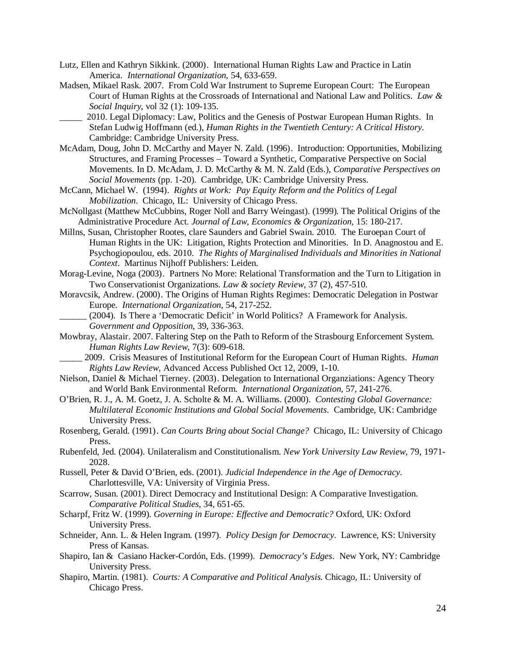- Lutz, Ellen and Kathryn Sikkink. (2000). International Human Rights Law and Practice in Latin America. *International Organization,* 54, 633-659.
- Madsen, Mikael Rask. 2007. From Cold War Instrument to Supreme European Court: The European Court of Human Rights at the Crossroads of International and National Law and Politics. *Law & Social Inquiry*, vol 32 (1): 109-135.
- \_\_\_\_\_ 2010. Legal Diplomacy: Law, Politics and the Genesis of Postwar European Human Rights. In Stefan Ludwig Hoffmann (ed.), *Human Rights in the Twentieth Century: A Critical History*. Cambridge: Cambridge University Press.
- McAdam, Doug, John D. McCarthy and Mayer N. Zald. (1996). Introduction: Opportunities, Mobilizing Structures, and Framing Processes – Toward a Synthetic, Comparative Perspective on Social Movements. In D. McAdam, J. D. McCarthy & M. N. Zald (Eds.), *Comparative Perspectives on Social Movements* (pp. 1-20). Cambridge, UK: Cambridge University Press.
- McCann, Michael W. (1994). *Rights at Work: Pay Equity Reform and the Politics of Legal Mobilization*. Chicago, IL: University of Chicago Press.
- McNollgast (Matthew McCubbins, Roger Noll and Barry Weingast). (1999). The Political Origins of the Administrative Procedure Act. *Journal of Law, Economics & Organization,* 15: 180-217.
- Millns, Susan, Christopher Rootes, clare Saunders and Gabriel Swain. 2010. The Euroepan Court of Human Rights in the UK: Litigation, Rights Protection and Minorities. In D. Anagnostou and E. Psychogiopoulou, eds. 2010. *The Rights of Marginalised Individuals and Minorities in National Context*. Martinus Nijhoff Publishers: Leiden.
- Morag-Levine, Noga (2003). Partners No More: Relational Transformation and the Turn to Litigation in Two Conservationist Organizations. *Law & society Review,* 37 (2), 457-510.
- Moravcsik, Andrew. (2000). The Origins of Human Rights Regimes: Democratic Delegation in Postwar Europe. *International Organization*, 54, 217-252.
- \_\_\_\_\_\_ (2004). Is There a 'Democratic Deficit' in World Politics? A Framework for Analysis. *Government and Opposition*, 39, 336-363.
- Mowbray, Alastair. 2007. Faltering Step on the Path to Reform of the Strasbourg Enforcement System. *Human Rights Law Review*, 7(3): 609-618.
- \_\_\_\_\_ 2009. Crisis Measures of Institutional Reform for the European Court of Human Rights. *Human Rights Law Review*, Advanced Access Published Oct 12, 2009, 1-10.
- Nielson, Daniel & Michael Tierney. (2003). Delegation to International Organziations: Agency Theory and World Bank Environmental Reform. *International Organization,* 57, 241-276.
- O'Brien, R. J., A. M. Goetz, J. A. Scholte & M. A. Williams. (2000). *Contesting Global Governance: Multilateral Economic Institutions and Global Social Movements*. Cambridge, UK: Cambridge University Press.
- Rosenberg, Gerald. (1991). *Can Courts Bring about Social Change?* Chicago, IL: University of Chicago Press.
- Rubenfeld, Jed. (2004). Unilateralism and Constitutionalism. *New York University Law Review,* 79, 1971- 2028.
- Russell, Peter & David O'Brien, eds. (2001). *Judicial Independence in the Age of Democracy*. Charlottesville, VA: University of Virginia Press.
- Scarrow, Susan. (2001). Direct Democracy and Institutional Design: A Comparative Investigation. *Comparative Political Studies*, 34, 651-65.
- Scharpf, Fritz W. (1999). *Governing in Europe: Effective and Democratic?* Oxford, UK: Oxford University Press.
- Schneider, Ann. L. & Helen Ingram. (1997). *Policy Design for Democracy*. Lawrence, KS: University Press of Kansas.
- Shapiro, Ian & Casiano Hacker-Cordón, Eds. (1999). *Democracy's Edges*. New York, NY: Cambridge University Press.
- Shapiro, Martin. (1981). *Courts: A Comparative and Political Analysis.* Chicago, IL: University of Chicago Press.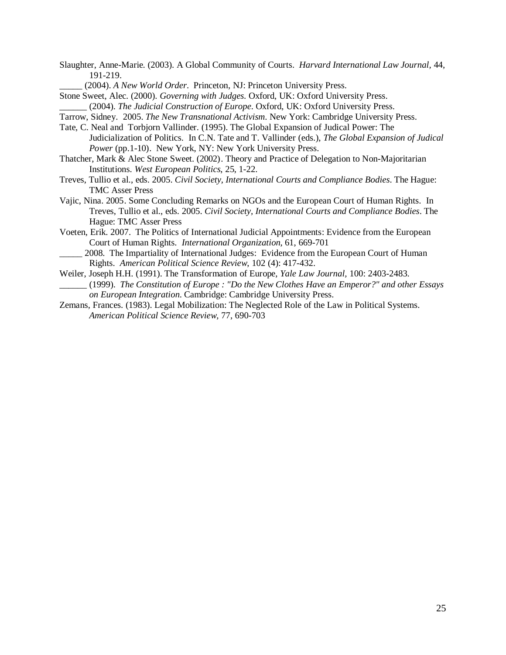- Slaughter, Anne-Marie. (2003). A Global Community of Courts. *Harvard International Law Journal,* 44, 191-219.
	- \_\_\_\_\_ (2004). *A New World Order*. Princeton, NJ: Princeton University Press.

Stone Sweet, Alec. (2000). *Governing with Judges.* Oxford, UK: Oxford University Press.

- \_\_\_\_\_\_ (2004). *The Judicial Construction of Europe*. Oxford, UK: Oxford University Press.
- Tarrow, Sidney. 2005. *The New Transnational Activism*. New York: Cambridge University Press.
- Tate, C. Neal and Torbjorn Vallinder. (1995). The Global Expansion of Judical Power: The Judicialization of Politics. In C.N. Tate and T. Vallinder (eds.), *The Global Expansion of Judical Power* (pp.1-10). New York, NY: New York University Press.
- Thatcher, Mark & Alec Stone Sweet. (2002). Theory and Practice of Delegation to Non-Majoritarian Institutions. *West European Politics*, 25, 1-22.
- Treves, Tullio et al., eds. 2005. *Civil Society, International Courts and Compliance Bodies*. The Hague: TMC Asser Press
- Vajic, Nina. 2005. Some Concluding Remarks on NGOs and the European Court of Human Rights. In Treves, Tullio et al., eds. 2005. *Civil Society, International Courts and Compliance Bodies*. The Hague: TMC Asser Press
- Voeten, Erik. 2007. The Politics of International Judicial Appointments: Evidence from the European Court of Human Rights. *International Organization*, 61, 669-701
- \_\_\_\_\_ 2008. The Impartiality of International Judges: Evidence from the European Court of Human Rights. *American Political Science Review*, 102 (4): 417-432.
- Weiler, Joseph H.H. (1991). The Transformation of Europe, *Yale Law Journal,* 100: 2403-2483. \_\_\_\_\_\_ (1999). *The Constitution of Europe : "Do the New Clothes Have an Emperor?" and other Essays on European Integration*. Cambridge: Cambridge University Press.
- Zemans, Frances. (1983). Legal Mobilization: The Neglected Role of the Law in Political Systems. *American Political Science Review,* 77, 690-703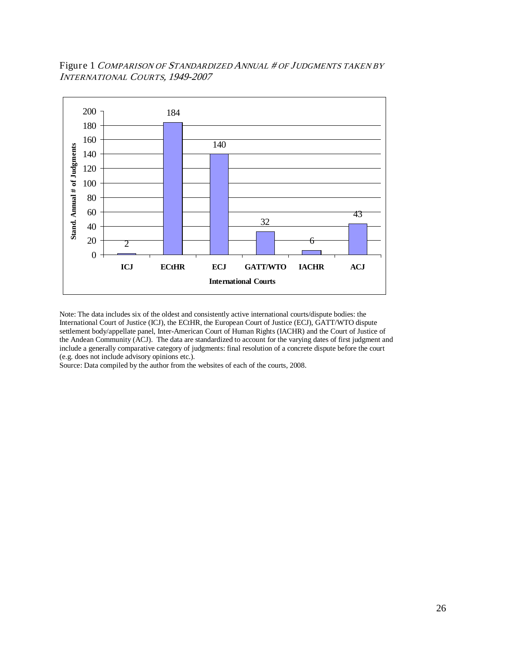Figure 1 COMPARISON OF STANDARDIZED ANNUAL # OF JUDGMENTS TAKEN BY INTERNATIONAL COURTS, 1949-2007



Note: The data includes six of the oldest and consistently active international courts/dispute bodies: the International Court of Justice (ICJ), the ECtHR, the European Court of Justice (ECJ), GATT/WTO dispute settlement body/appellate panel, Inter-American Court of Human Rights (IACHR) and the Court of Justice of the Andean Community (ACJ). The data are standardized to account for the varying dates of first judgment and include a generally comparative category of judgments: final resolution of a concrete dispute before the court (e.g. does not include advisory opinions etc.).

Source: Data compiled by the author from the websites of each of the courts, 2008.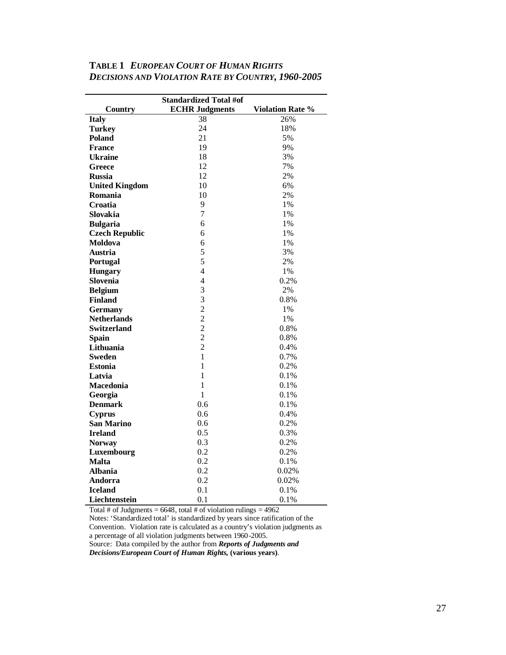| <b>Standardized Total #of</b> |                       |                         |
|-------------------------------|-----------------------|-------------------------|
| Country                       | <b>ECHR Judgments</b> | <b>Violation Rate %</b> |
| <b>Italy</b>                  | 38                    | 26%                     |
| <b>Turkey</b>                 | 24                    | 18%                     |
| Poland                        | 21                    | 5%                      |
| <b>France</b>                 | 19                    | 9%                      |
| <b>Ukraine</b>                | 18                    | 3%                      |
| Greece                        | 12                    | 7%                      |
| <b>Russia</b>                 | 12                    | 2%                      |
| <b>United Kingdom</b>         | 10                    | 6%                      |
| Romania                       | 10                    | 2%                      |
| Croatia                       | 9                     | 1%                      |
| Slovakia                      | 7                     | 1%                      |
| <b>Bulgaria</b>               | 6                     | 1%                      |
| <b>Czech Republic</b>         | 6                     | 1%                      |
| Moldova                       | 6                     | 1%                      |
| Austria                       | 5                     | 3%                      |
| Portugal                      | 5                     | 2%                      |
| <b>Hungary</b>                | $\overline{4}$        | 1%                      |
| Slovenia                      | $\overline{4}$        | 0.2%                    |
| <b>Belgium</b>                | 3                     | 2%                      |
| <b>Finland</b>                | 3                     | 0.8%                    |
| <b>Germany</b>                | $\overline{2}$        | 1%                      |
| <b>Netherlands</b>            | $\overline{2}$        | 1%                      |
| <b>Switzerland</b>            | $\overline{c}$        | 0.8%                    |
| <b>Spain</b>                  | $\overline{2}$        | 0.8%                    |
| Lithuania                     | $\overline{2}$        | 0.4%                    |
| <b>Sweden</b>                 | 1                     | 0.7%                    |
| <b>Estonia</b>                | $\mathbf{1}$          | 0.2%                    |
| Latvia                        | 1                     | 0.1%                    |
| Macedonia                     | $\mathbf{1}$          | 0.1%                    |
| Georgia                       | 1                     | 0.1%                    |
| <b>Denmark</b>                | 0.6                   | 0.1%                    |
| <b>Cyprus</b>                 | 0.6                   | 0.4%                    |
| <b>San Marino</b>             | 0.6                   | 0.2%                    |
| <b>Ireland</b>                | 0.5                   | 0.3%                    |
| <b>Norway</b>                 | 0.3                   | 0.2%                    |
| Luxembourg                    | 0.2                   | 0.2%                    |
| <b>Malta</b>                  | 0.2                   | 0.1%                    |
| <b>Albania</b>                | 0.2                   | 0.02%                   |
| Andorra                       | 0.2                   | 0.02%                   |
| <b>Iceland</b>                | 0.1                   | 0.1%                    |
| Liechtenstein                 | 0.1                   | 0.1%                    |

# **TABLE 1** *EUROPEAN COURT OF HUMAN RIGHTS DECISIONS AND VIOLATION RATE BY COUNTRY, 1960-2005*

Total # of Judgments =  $6648$ , total # of violation rulings =  $4962$ 

Notes: 'Standardized total' is standardized by years since ratification of the Convention. Violation rate is calculated as a country's violation judgments as a percentage of all violation judgments between 1960-2005. Source: Data compiled by the author from *Reports of Judgments and* 

*Decisions/European Court of Human Rights,* **(various years)**.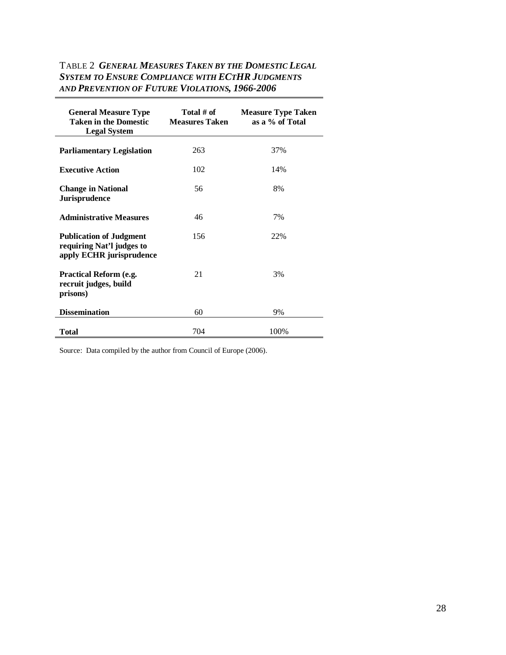# TABLE 2 *GENERAL MEASURES TAKEN BY THE DOMESTIC LEGAL SYSTEM TO ENSURE COMPLIANCE WITH ECTHR JUDGMENTS AND PREVENTION OF FUTURE VIOLATIONS, 1966-2006*

| <b>General Measure Type</b><br><b>Taken in the Domestic</b><br><b>Legal System</b>      | Total # of<br><b>Measures Taken</b> | <b>Measure Type Taken</b><br>as a % of Total |
|-----------------------------------------------------------------------------------------|-------------------------------------|----------------------------------------------|
| <b>Parliamentary Legislation</b>                                                        | 263                                 | 37%                                          |
| <b>Executive Action</b>                                                                 | 102                                 | 14%                                          |
| <b>Change in National</b><br><b>Jurisprudence</b>                                       | 56                                  | 8%                                           |
| <b>Administrative Measures</b>                                                          | 46                                  | 7%                                           |
| <b>Publication of Judgment</b><br>requiring Nat'l judges to<br>apply ECHR jurisprudence | 156                                 | 22%                                          |
| <b>Practical Reform (e.g.</b><br>recruit judges, build<br>prisons)                      | 21                                  | 3%                                           |
| <b>Dissemination</b>                                                                    | 60                                  | 9%                                           |
| Total                                                                                   | 704                                 | 100%                                         |

Source: Data compiled by the author from Council of Europe (2006).